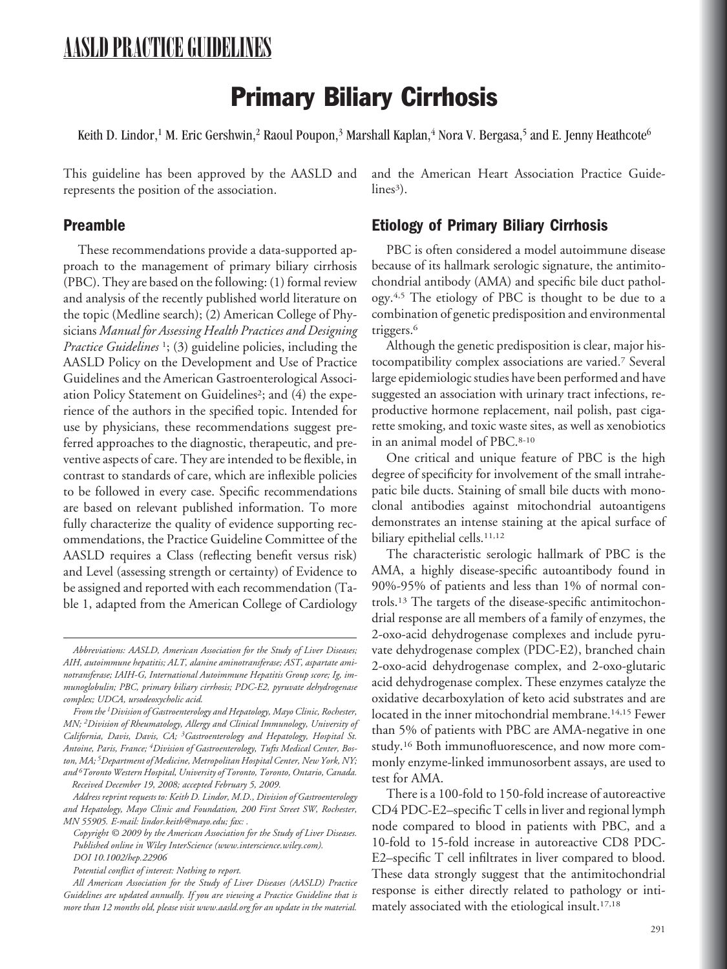# AASLD PRACTICE GUIDELINES

# Primary Biliary Cirrhosis

Keith D. Lindor,<sup>1</sup> M. Eric Gershwin,<sup>2</sup> Raoul Poupon,<sup>3</sup> Marshall Kaplan,<sup>4</sup> Nora V. Bergasa,<sup>5</sup> and E. Jenny Heathcote<sup>6</sup>

This guideline has been approved by the AASLD and represents the position of the association.

# **Preamble**

These recommendations provide a data-supported approach to the management of primary biliary cirrhosis (PBC). They are based on the following: (1) formal review and analysis of the recently published world literature on the topic (Medline search); (2) American College of Physicians *Manual for Assessing Health Practices and Designing Practice Guidelines*<sup>1</sup>; (3) guideline policies, including the AASLD Policy on the Development and Use of Practice Guidelines and the American Gastroenterological Association Policy Statement on Guidelines<sup>2</sup>; and (4) the experience of the authors in the specified topic. Intended for use by physicians, these recommendations suggest preferred approaches to the diagnostic, therapeutic, and preventive aspects of care. They are intended to be flexible, in contrast to standards of care, which are inflexible policies to be followed in every case. Specific recommendations are based on relevant published information. To more fully characterize the quality of evidence supporting recommendations, the Practice Guideline Committee of the AASLD requires a Class (reflecting benefit versus risk) and Level (assessing strength or certainty) of Evidence to be assigned and reported with each recommendation (Table 1, adapted from the American College of Cardiology

and the American Heart Association Practice Guide $lines<sup>3</sup>$ ).

# **Etiology of Primary Biliary Cirrhosis**

PBC is often considered a model autoimmune disease because of its hallmark serologic signature, the antimitochondrial antibody (AMA) and specific bile duct pathology.4,5 The etiology of PBC is thought to be due to a combination of genetic predisposition and environmental triggers.6

Although the genetic predisposition is clear, major histocompatibility complex associations are varied.7 Several large epidemiologic studies have been performed and have suggested an association with urinary tract infections, reproductive hormone replacement, nail polish, past cigarette smoking, and toxic waste sites, as well as xenobiotics in an animal model of PBC.8-10

One critical and unique feature of PBC is the high degree of specificity for involvement of the small intrahepatic bile ducts. Staining of small bile ducts with monoclonal antibodies against mitochondrial autoantigens demonstrates an intense staining at the apical surface of biliary epithelial cells.<sup>11,12</sup>

The characteristic serologic hallmark of PBC is the AMA, a highly disease-specific autoantibody found in 90%-95% of patients and less than 1% of normal controls.13 The targets of the disease-specific antimitochondrial response are all members of a family of enzymes, the 2-oxo-acid dehydrogenase complexes and include pyruvate dehydrogenase complex (PDC-E2), branched chain 2-oxo-acid dehydrogenase complex, and 2-oxo-glutaric acid dehydrogenase complex. These enzymes catalyze the oxidative decarboxylation of keto acid substrates and are located in the inner mitochondrial membrane.<sup>14,15</sup> Fewer than 5% of patients with PBC are AMA-negative in one study.16 Both immunofluorescence, and now more commonly enzyme-linked immunosorbent assays, are used to test for AMA.

There is a 100-fold to 150-fold increase of autoreactive CD4 PDC-E2–specific T cells in liver and regional lymph node compared to blood in patients with PBC, and a 10-fold to 15-fold increase in autoreactive CD8 PDC-E2–specific T cell infiltrates in liver compared to blood. These data strongly suggest that the antimitochondrial response is either directly related to pathology or intimately associated with the etiological insult.<sup>17,18</sup>

*Abbreviations: AASLD, American Association for the Study of Liver Diseases; AIH, autoimmune hepatitis; ALT, alanine aminotransferase; AST, aspartate aminotransferase; IAIH-G, International Autoimmune Hepatitis Group score; Ig, immunoglobulin; PBC, primary biliary cirrhosis; PDC-E2, pyruvate dehydrogenase complex; UDCA, ursodeoxycholic acid.*

*From the 1Division of Gastroenterology and Hepatology, Mayo Clinic, Rochester, MN; 2Division of Rheumatology, Allergy and Clinical Immunology, University of California, Davis, Davis, CA; 3Gastroenterology and Hepatology, Hospital St. Antoine, Paris, France; 4Division of Gastroenterology, Tufts Medical Center, Boston, MA; 5Department of Medicine, Metropolitan Hospital Center, New York, NY; and 6Toronto Western Hospital, University of Toronto, Toronto, Ontario, Canada. Received December 19, 2008; accepted February 5, 2009.*

*Address reprint requests to: Keith D. Lindor, M.D., Division of Gastroenterology and Hepatology, Mayo Clinic and Foundation, 200 First Street SW, Rochester, MN 55905. E-mail: lindor.keith@mayo.edu; fax: .*

*Copyright © 2009 by the American Association for the Study of Liver Diseases. Published online in Wiley InterScience (www.interscience.wiley.com). DOI 10.1002/hep.22906*

*Potential conflict of interest: Nothing to report.*

*All American Association for the Study of Liver Diseases (AASLD) Practice Guidelines are updated annually. If you are viewing a Practice Guideline that is more than 12 months old, please visit www.aasld.org for an update in the material.*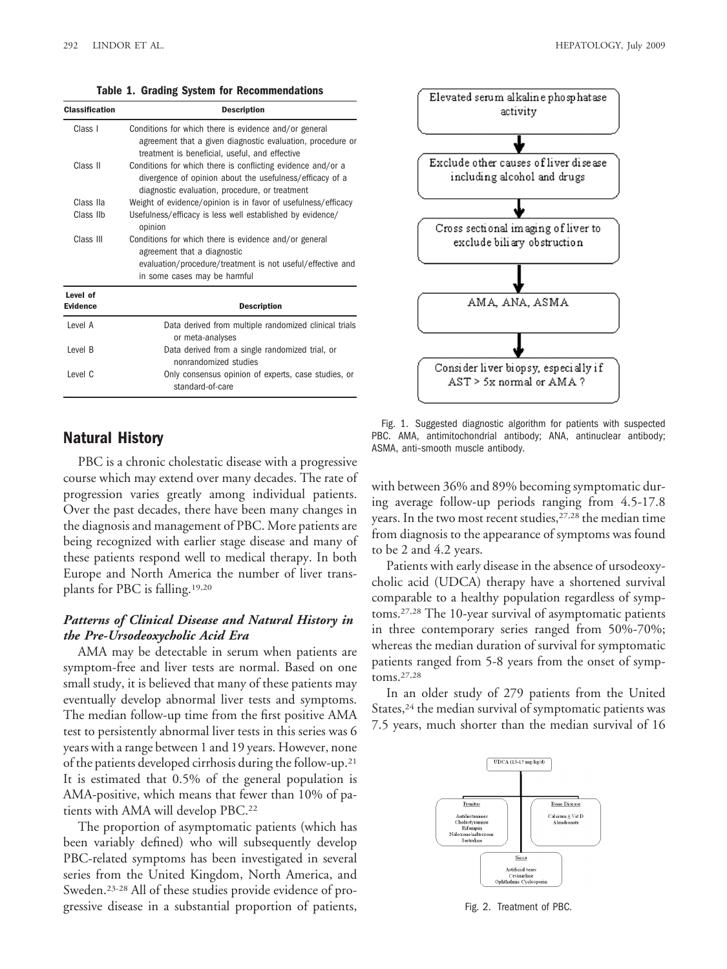**Table 1. Grading System for Recommendations**

| <b>Classification</b>       | <b>Description</b>                                                                                                                                                                 |
|-----------------------------|------------------------------------------------------------------------------------------------------------------------------------------------------------------------------------|
| Class I                     | Conditions for which there is evidence and/or general<br>agreement that a given diagnostic evaluation, procedure or<br>treatment is beneficial, useful, and effective              |
| Class II                    | Conditions for which there is conflicting evidence and/or a<br>divergence of opinion about the usefulness/efficacy of a<br>diagnostic evaluation, procedure, or treatment          |
| Class IIa                   | Weight of evidence/opinion is in favor of usefulness/efficacy                                                                                                                      |
| Class IIb                   | Usefulness/efficacy is less well established by evidence/<br>opinion                                                                                                               |
| Class III                   | Conditions for which there is evidence and/or general<br>agreement that a diagnostic<br>evaluation/procedure/treatment is not useful/effective and<br>in some cases may be harmful |
| Level of<br><b>Evidence</b> | <b>Description</b>                                                                                                                                                                 |
| Level A                     | Data derived from multiple randomized clinical trials<br>or meta-analyses                                                                                                          |
| Level B                     | Data derived from a single randomized trial, or<br>المتحال والمنافس المتحاف والمحافظ والمستحدث والمتحدث                                                                            |

nonrandomized studies Level C C C CONLINE CONSERVIATION CONSERVATION Only consensus opinion of experts, case studies, or standard-of-care

# **Natural History**

PBC is a chronic cholestatic disease with a progressive course which may extend over many decades. The rate of progression varies greatly among individual patients. Over the past decades, there have been many changes in the diagnosis and management of PBC. More patients are being recognized with earlier stage disease and many of these patients respond well to medical therapy. In both Europe and North America the number of liver transplants for PBC is falling.19,20

# *Patterns of Clinical Disease and Natural History in the Pre-Ursodeoxycholic Acid Era*

AMA may be detectable in serum when patients are symptom-free and liver tests are normal. Based on one small study, it is believed that many of these patients may eventually develop abnormal liver tests and symptoms. The median follow-up time from the first positive AMA test to persistently abnormal liver tests in this series was 6 years with a range between 1 and 19 years. However, none of the patients developed cirrhosis during the follow-up.21 It is estimated that 0.5% of the general population is AMA-positive, which means that fewer than 10% of patients with AMA will develop PBC.22

The proportion of asymptomatic patients (which has been variably defined) who will subsequently develop PBC-related symptoms has been investigated in several series from the United Kingdom, North America, and Sweden.23-28 All of these studies provide evidence of progressive disease in a substantial proportion of patients,



Fig. 1. Suggested diagnostic algorithm for patients with suspected PBC. AMA, antimitochondrial antibody; ANA, antinuclear antibody; ASMA, anti–smooth muscle antibody.

with between 36% and 89% becoming symptomatic during average follow-up periods ranging from 4.5-17.8 years. In the two most recent studies, <sup>27,28</sup> the median time from diagnosis to the appearance of symptoms was found to be 2 and 4.2 years.

Patients with early disease in the absence of ursodeoxycholic acid (UDCA) therapy have a shortened survival comparable to a healthy population regardless of symptoms.27,28 The 10-year survival of asymptomatic patients in three contemporary series ranged from 50%-70%; whereas the median duration of survival for symptomatic patients ranged from 5-8 years from the onset of symptoms.27,28

In an older study of 279 patients from the United States,<sup>24</sup> the median survival of symptomatic patients was 7.5 years, much shorter than the median survival of 16



Fig. 2. Treatment of PBC.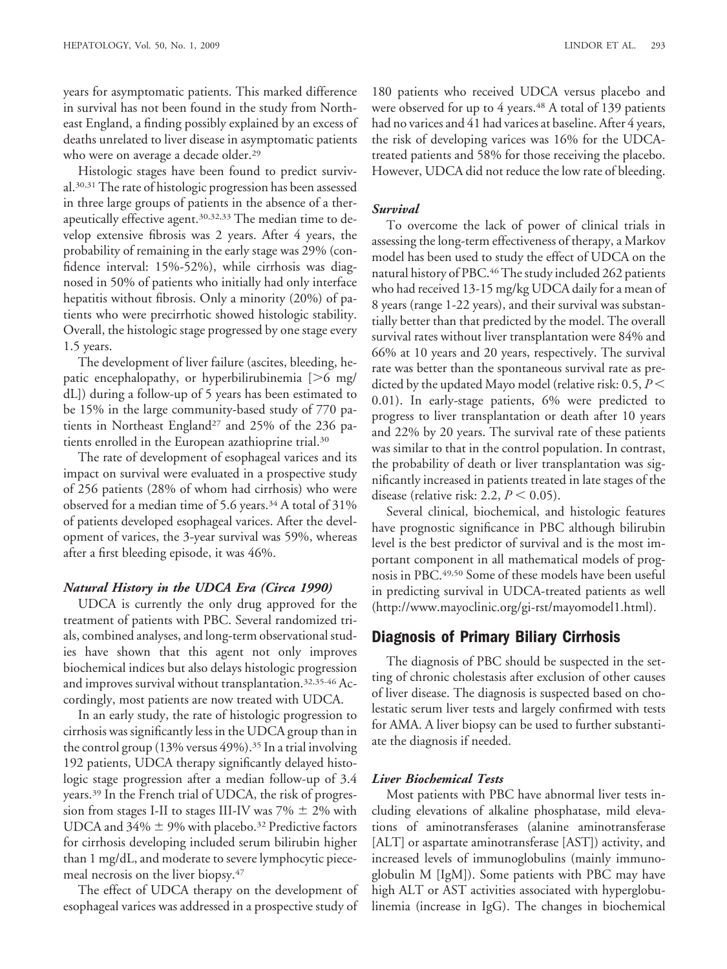years for asymptomatic patients. This marked difference in survival has not been found in the study from Northeast England, a finding possibly explained by an excess of deaths unrelated to liver disease in asymptomatic patients who were on average a decade older.<sup>29</sup>

Histologic stages have been found to predict survival.30,31The rate of histologic progression has been assessed in three large groups of patients in the absence of a therapeutically effective agent.<sup>30,32,33</sup> The median time to develop extensive fibrosis was 2 years. After 4 years, the probability of remaining in the early stage was 29% (confidence interval: 15%-52%), while cirrhosis was diagnosed in 50% of patients who initially had only interface hepatitis without fibrosis. Only a minority (20%) of patients who were precirrhotic showed histologic stability. Overall, the histologic stage progressed by one stage every 1.5 years.

The development of liver failure (ascites, bleeding, hepatic encephalopathy, or hyperbilirubinemia  $\geq 6$  mg/ dL]) during a follow-up of 5 years has been estimated to be 15% in the large community-based study of 770 patients in Northeast England<sup>27</sup> and 25% of the 236 patients enrolled in the European azathioprine trial.30

The rate of development of esophageal varices and its impact on survival were evaluated in a prospective study of 256 patients (28% of whom had cirrhosis) who were observed for a median time of 5.6 years.<sup>34</sup> A total of 31% of patients developed esophageal varices. After the development of varices, the 3-year survival was 59%, whereas after a first bleeding episode, it was 46%.

### *Natural History in the UDCA Era (Circa 1990)*

UDCA is currently the only drug approved for the treatment of patients with PBC. Several randomized trials, combined analyses, and long-term observational studies have shown that this agent not only improves biochemical indices but also delays histologic progression and improves survival without transplantation.32,35-46 Accordingly, most patients are now treated with UDCA.

In an early study, the rate of histologic progression to cirrhosis was significantly less in the UDCA group than in the control group (13% versus 49%).<sup>35</sup> In a trial involving 192 patients, UDCA therapy significantly delayed histologic stage progression after a median follow-up of 3.4 years.39 In the French trial of UDCA, the risk of progression from stages I-II to stages III-IV was  $7\% \pm 2\%$  with UDCA and  $34\% \pm 9\%$  with placebo.<sup>32</sup> Predictive factors for cirrhosis developing included serum bilirubin higher than 1 mg/dL, and moderate to severe lymphocytic piecemeal necrosis on the liver biopsy.47

The effect of UDCA therapy on the development of esophageal varices was addressed in a prospective study of 180 patients who received UDCA versus placebo and were observed for up to 4 years.<sup>48</sup> A total of 139 patients had no varices and 41 had varices at baseline. After 4 years, the risk of developing varices was 16% for the UDCAtreated patients and 58% for those receiving the placebo. However, UDCA did not reduce the low rate of bleeding.

### *Survival*

To overcome the lack of power of clinical trials in assessing the long-term effectiveness of therapy, a Markov model has been used to study the effect of UDCA on the natural history of PBC.<sup>46</sup> The study included 262 patients who had received 13-15 mg/kg UDCA daily for a mean of 8 years (range 1-22 years), and their survival was substantially better than that predicted by the model. The overall survival rates without liver transplantation were 84% and 66% at 10 years and 20 years, respectively. The survival rate was better than the spontaneous survival rate as predicted by the updated Mayo model (relative risk: 0.5, *P* 0.01). In early-stage patients, 6% were predicted to progress to liver transplantation or death after 10 years and 22% by 20 years. The survival rate of these patients was similar to that in the control population. In contrast, the probability of death or liver transplantation was significantly increased in patients treated in late stages of the disease (relative risk: 2.2,  $P < 0.05$ ).

Several clinical, biochemical, and histologic features have prognostic significance in PBC although bilirubin level is the best predictor of survival and is the most important component in all mathematical models of prognosis in PBC.49,50 Some of these models have been useful in predicting survival in UDCA-treated patients as well (http://www.mayoclinic.org/gi-rst/mayomodel1.html).

# **Diagnosis of Primary Biliary Cirrhosis**

The diagnosis of PBC should be suspected in the setting of chronic cholestasis after exclusion of other causes of liver disease. The diagnosis is suspected based on cholestatic serum liver tests and largely confirmed with tests for AMA. A liver biopsy can be used to further substantiate the diagnosis if needed.

# *Liver Biochemical Tests*

Most patients with PBC have abnormal liver tests including elevations of alkaline phosphatase, mild elevations of aminotransferases (alanine aminotransferase [ALT] or aspartate aminotransferase [AST]) activity, and increased levels of immunoglobulins (mainly immunoglobulin M [IgM]). Some patients with PBC may have high ALT or AST activities associated with hyperglobulinemia (increase in IgG). The changes in biochemical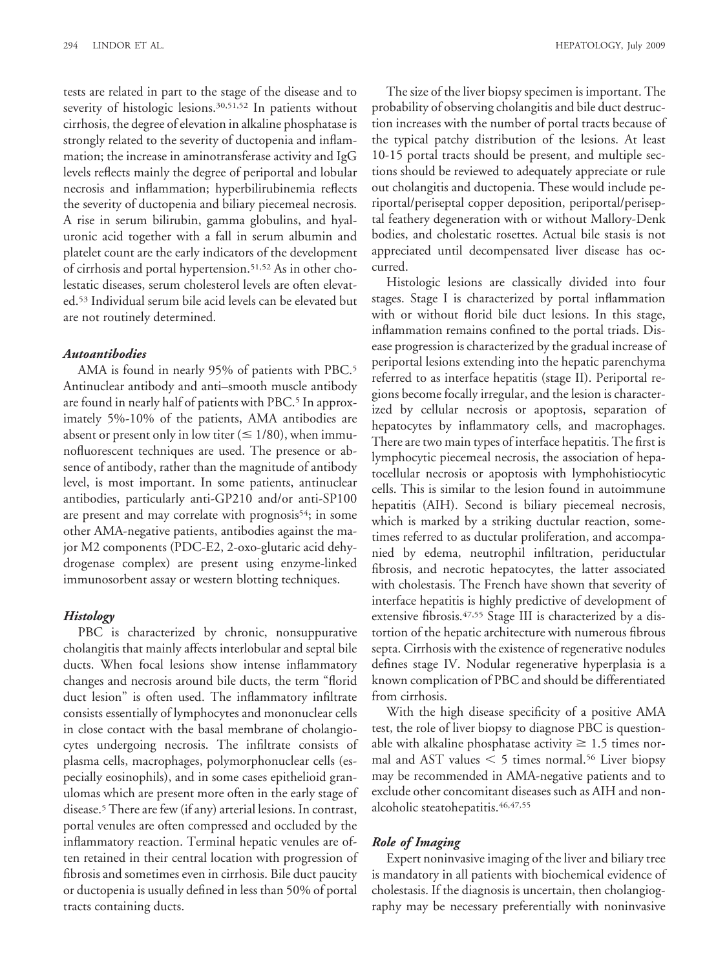tests are related in part to the stage of the disease and to severity of histologic lesions.<sup>30,51,52</sup> In patients without cirrhosis, the degree of elevation in alkaline phosphatase is strongly related to the severity of ductopenia and inflammation; the increase in aminotransferase activity and IgG levels reflects mainly the degree of periportal and lobular necrosis and inflammation; hyperbilirubinemia reflects the severity of ductopenia and biliary piecemeal necrosis. A rise in serum bilirubin, gamma globulins, and hyaluronic acid together with a fall in serum albumin and platelet count are the early indicators of the development of cirrhosis and portal hypertension.51,52 As in other cholestatic diseases, serum cholesterol levels are often elevated.53 Individual serum bile acid levels can be elevated but are not routinely determined.

### *Autoantibodies*

AMA is found in nearly 95% of patients with PBC.<sup>5</sup> Antinuclear antibody and anti–smooth muscle antibody are found in nearly half of patients with PBC.<sup>5</sup> In approximately 5%-10% of the patients, AMA antibodies are absent or present only in low titer ( $\leq 1/80$ ), when immunofluorescent techniques are used. The presence or absence of antibody, rather than the magnitude of antibody level, is most important. In some patients, antinuclear antibodies, particularly anti-GP210 and/or anti-SP100 are present and may correlate with prognosis<sup>54</sup>; in some other AMA-negative patients, antibodies against the major M2 components (PDC-E2, 2-oxo-glutaric acid dehydrogenase complex) are present using enzyme-linked immunosorbent assay or western blotting techniques.

### *Histology*

PBC is characterized by chronic, nonsuppurative cholangitis that mainly affects interlobular and septal bile ducts. When focal lesions show intense inflammatory changes and necrosis around bile ducts, the term "florid duct lesion" is often used. The inflammatory infiltrate consists essentially of lymphocytes and mononuclear cells in close contact with the basal membrane of cholangiocytes undergoing necrosis. The infiltrate consists of plasma cells, macrophages, polymorphonuclear cells (especially eosinophils), and in some cases epithelioid granulomas which are present more often in the early stage of disease.5 There are few (if any) arterial lesions. In contrast, portal venules are often compressed and occluded by the inflammatory reaction. Terminal hepatic venules are often retained in their central location with progression of fibrosis and sometimes even in cirrhosis. Bile duct paucity or ductopenia is usually defined in less than 50% of portal tracts containing ducts.

The size of the liver biopsy specimen is important. The probability of observing cholangitis and bile duct destruction increases with the number of portal tracts because of the typical patchy distribution of the lesions. At least 10-15 portal tracts should be present, and multiple sections should be reviewed to adequately appreciate or rule out cholangitis and ductopenia. These would include periportal/periseptal copper deposition, periportal/periseptal feathery degeneration with or without Mallory-Denk bodies, and cholestatic rosettes. Actual bile stasis is not appreciated until decompensated liver disease has occurred.

Histologic lesions are classically divided into four stages. Stage I is characterized by portal inflammation with or without florid bile duct lesions. In this stage, inflammation remains confined to the portal triads. Disease progression is characterized by the gradual increase of periportal lesions extending into the hepatic parenchyma referred to as interface hepatitis (stage II). Periportal regions become focally irregular, and the lesion is characterized by cellular necrosis or apoptosis, separation of hepatocytes by inflammatory cells, and macrophages. There are two main types of interface hepatitis. The first is lymphocytic piecemeal necrosis, the association of hepatocellular necrosis or apoptosis with lymphohistiocytic cells. This is similar to the lesion found in autoimmune hepatitis (AIH). Second is biliary piecemeal necrosis, which is marked by a striking ductular reaction, sometimes referred to as ductular proliferation, and accompanied by edema, neutrophil infiltration, periductular fibrosis, and necrotic hepatocytes, the latter associated with cholestasis. The French have shown that severity of interface hepatitis is highly predictive of development of extensive fibrosis.<sup>47,55</sup> Stage III is characterized by a distortion of the hepatic architecture with numerous fibrous septa. Cirrhosis with the existence of regenerative nodules defines stage IV. Nodular regenerative hyperplasia is a known complication of PBC and should be differentiated from cirrhosis.

With the high disease specificity of a positive AMA test, the role of liver biopsy to diagnose PBC is questionable with alkaline phosphatase activity  $\geq 1.5$  times normal and AST values  $<$  5 times normal.<sup>56</sup> Liver biopsy may be recommended in AMA-negative patients and to exclude other concomitant diseases such as AIH and nonalcoholic steatohepatitis.46,47,55

### *Role of Imaging*

Expert noninvasive imaging of the liver and biliary tree is mandatory in all patients with biochemical evidence of cholestasis. If the diagnosis is uncertain, then cholangiography may be necessary preferentially with noninvasive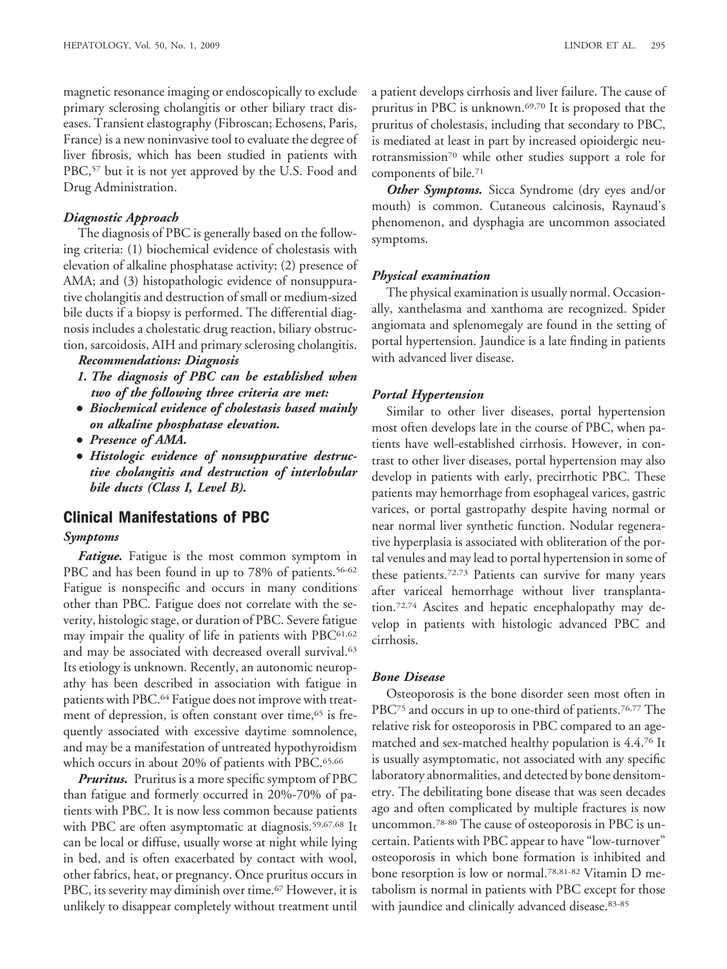magnetic resonance imaging or endoscopically to exclude primary sclerosing cholangitis or other biliary tract diseases. Transient elastography (Fibroscan; Echosens, Paris, France) is a new noninvasive tool to evaluate the degree of liver fibrosis, which has been studied in patients with PBC,<sup>57</sup> but it is not yet approved by the U.S. Food and Drug Administration.

#### *Diagnostic Approach*

The diagnosis of PBC is generally based on the following criteria: (1) biochemical evidence of cholestasis with elevation of alkaline phosphatase activity; (2) presence of AMA; and (3) histopathologic evidence of nonsuppurative cholangitis and destruction of small or medium-sized bile ducts if a biopsy is performed. The differential diagnosis includes a cholestatic drug reaction, biliary obstruction, sarcoidosis, AIH and primary sclerosing cholangitis.

### *Recommendations: Diagnosis*

*1. The diagnosis of PBC can be established when two of the following three criteria are met:*

- *Biochemical evidence of cholestasis based mainly on alkaline phosphatase elevation.*
- *Presence of AMA.*
- *Histologic evidence of nonsuppurative destructive cholangitis and destruction of interlobular bile ducts (Class I, Level B).*

# **Clinical Manifestations of PBC**

#### *Symptoms*

*Fatigue.* Fatigue is the most common symptom in PBC and has been found in up to 78% of patients.<sup>56-62</sup> Fatigue is nonspecific and occurs in many conditions other than PBC. Fatigue does not correlate with the severity, histologic stage, or duration of PBC. Severe fatigue may impair the quality of life in patients with  $PBC^{61,62}$ and may be associated with decreased overall survival.63 Its etiology is unknown. Recently, an autonomic neuropathy has been described in association with fatigue in patients with PBC.64 Fatigue does not improve with treatment of depression, is often constant over time,<sup>65</sup> is frequently associated with excessive daytime somnolence, and may be a manifestation of untreated hypothyroidism which occurs in about 20% of patients with PBC.<sup>65,66</sup>

*Pruritus.* Pruritus is a more specific symptom of PBC than fatigue and formerly occurred in 20%-70% of patients with PBC. It is now less common because patients with PBC are often asymptomatic at diagnosis.<sup>59,67,68</sup> It can be local or diffuse, usually worse at night while lying in bed, and is often exacerbated by contact with wool, other fabrics, heat, or pregnancy. Once pruritus occurs in PBC, its severity may diminish over time.<sup>67</sup> However, it is unlikely to disappear completely without treatment until a patient develops cirrhosis and liver failure. The cause of pruritus in PBC is unknown.69,70 It is proposed that the pruritus of cholestasis, including that secondary to PBC, is mediated at least in part by increased opioidergic neurotransmission<sup>70</sup> while other studies support a role for components of bile.71

*Other Symptoms.* Sicca Syndrome (dry eyes and/or mouth) is common. Cutaneous calcinosis, Raynaud's phenomenon, and dysphagia are uncommon associated symptoms.

#### *Physical examination*

The physical examination is usually normal. Occasionally, xanthelasma and xanthoma are recognized. Spider angiomata and splenomegaly are found in the setting of portal hypertension. Jaundice is a late finding in patients with advanced liver disease.

#### *Portal Hypertension*

Similar to other liver diseases, portal hypertension most often develops late in the course of PBC, when patients have well-established cirrhosis. However, in contrast to other liver diseases, portal hypertension may also develop in patients with early, precirrhotic PBC. These patients may hemorrhage from esophageal varices, gastric varices, or portal gastropathy despite having normal or near normal liver synthetic function. Nodular regenerative hyperplasia is associated with obliteration of the portal venules and may lead to portal hypertension in some of these patients.72,73 Patients can survive for many years after variceal hemorrhage without liver transplantation.72,74 Ascites and hepatic encephalopathy may develop in patients with histologic advanced PBC and cirrhosis.

#### *Bone Disease*

Osteoporosis is the bone disorder seen most often in PBC<sup>75</sup> and occurs in up to one-third of patients.<sup>76,77</sup> The relative risk for osteoporosis in PBC compared to an agematched and sex-matched healthy population is 4.4.76 It is usually asymptomatic, not associated with any specific laboratory abnormalities, and detected by bone densitometry. The debilitating bone disease that was seen decades ago and often complicated by multiple fractures is now uncommon.78-80 The cause of osteoporosis in PBC is uncertain. Patients with PBC appear to have "low-turnover" osteoporosis in which bone formation is inhibited and bone resorption is low or normal.78,81-82 Vitamin D metabolism is normal in patients with PBC except for those with jaundice and clinically advanced disease.<sup>83-85</sup>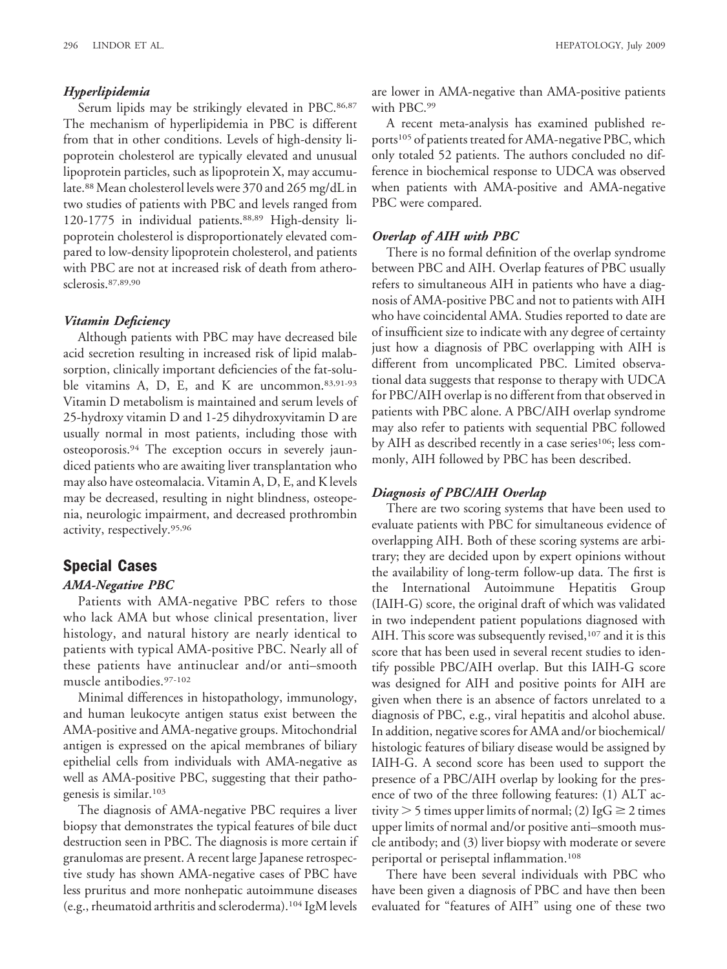### *Hyperlipidemia*

Serum lipids may be strikingly elevated in PBC.<sup>86,87</sup> The mechanism of hyperlipidemia in PBC is different from that in other conditions. Levels of high-density lipoprotein cholesterol are typically elevated and unusual lipoprotein particles, such as lipoprotein X, may accumulate.88 Mean cholesterol levels were 370 and 265 mg/dL in two studies of patients with PBC and levels ranged from 120-1775 in individual patients.88,89 High-density lipoprotein cholesterol is disproportionately elevated compared to low-density lipoprotein cholesterol, and patients with PBC are not at increased risk of death from atherosclerosis.87,89,90

### *Vitamin Deficiency*

Although patients with PBC may have decreased bile acid secretion resulting in increased risk of lipid malabsorption, clinically important deficiencies of the fat-soluble vitamins A, D, E, and K are uncommon.<sup>83,91-93</sup> Vitamin D metabolism is maintained and serum levels of 25-hydroxy vitamin D and 1-25 dihydroxyvitamin D are usually normal in most patients, including those with osteoporosis.94 The exception occurs in severely jaundiced patients who are awaiting liver transplantation who may also have osteomalacia. Vitamin A, D, E, and K levels may be decreased, resulting in night blindness, osteopenia, neurologic impairment, and decreased prothrombin activity, respectively.95,96

# **Special Cases**

### *AMA-Negative PBC*

Patients with AMA-negative PBC refers to those who lack AMA but whose clinical presentation, liver histology, and natural history are nearly identical to patients with typical AMA-positive PBC. Nearly all of these patients have antinuclear and/or anti–smooth muscle antibodies.97-102

Minimal differences in histopathology, immunology, and human leukocyte antigen status exist between the AMA-positive and AMA-negative groups. Mitochondrial antigen is expressed on the apical membranes of biliary epithelial cells from individuals with AMA-negative as well as AMA-positive PBC, suggesting that their pathogenesis is similar.103

The diagnosis of AMA-negative PBC requires a liver biopsy that demonstrates the typical features of bile duct destruction seen in PBC. The diagnosis is more certain if granulomas are present. A recent large Japanese retrospective study has shown AMA-negative cases of PBC have less pruritus and more nonhepatic autoimmune diseases (e.g., rheumatoid arthritis and scleroderma).104 IgM levels are lower in AMA-negative than AMA-positive patients with PBC.99

A recent meta-analysis has examined published reports<sup>105</sup> of patients treated for AMA-negative PBC, which only totaled 52 patients. The authors concluded no difference in biochemical response to UDCA was observed when patients with AMA-positive and AMA-negative PBC were compared.

### *Overlap of AIH with PBC*

There is no formal definition of the overlap syndrome between PBC and AIH. Overlap features of PBC usually refers to simultaneous AIH in patients who have a diagnosis of AMA-positive PBC and not to patients with AIH who have coincidental AMA. Studies reported to date are of insufficient size to indicate with any degree of certainty just how a diagnosis of PBC overlapping with AIH is different from uncomplicated PBC. Limited observational data suggests that response to therapy with UDCA for PBC/AIH overlap is no different from that observed in patients with PBC alone. A PBC/AIH overlap syndrome may also refer to patients with sequential PBC followed by AIH as described recently in a case series<sup>106</sup>; less commonly, AIH followed by PBC has been described.

### *Diagnosis of PBC/AIH Overlap*

There are two scoring systems that have been used to evaluate patients with PBC for simultaneous evidence of overlapping AIH. Both of these scoring systems are arbitrary; they are decided upon by expert opinions without the availability of long-term follow-up data. The first is the International Autoimmune Hepatitis Group (IAIH-G) score, the original draft of which was validated in two independent patient populations diagnosed with AIH. This score was subsequently revised,<sup>107</sup> and it is this score that has been used in several recent studies to identify possible PBC/AIH overlap. But this IAIH-G score was designed for AIH and positive points for AIH are given when there is an absence of factors unrelated to a diagnosis of PBC, e.g., viral hepatitis and alcohol abuse. In addition, negative scores for AMA and/or biochemical/ histologic features of biliary disease would be assigned by IAIH-G. A second score has been used to support the presence of a PBC/AIH overlap by looking for the presence of two of the three following features: (1) ALT activity  $>$  5 times upper limits of normal; (2) IgG  $\geq$  2 times upper limits of normal and/or positive anti–smooth muscle antibody; and (3) liver biopsy with moderate or severe periportal or periseptal inflammation.108

There have been several individuals with PBC who have been given a diagnosis of PBC and have then been evaluated for "features of AIH" using one of these two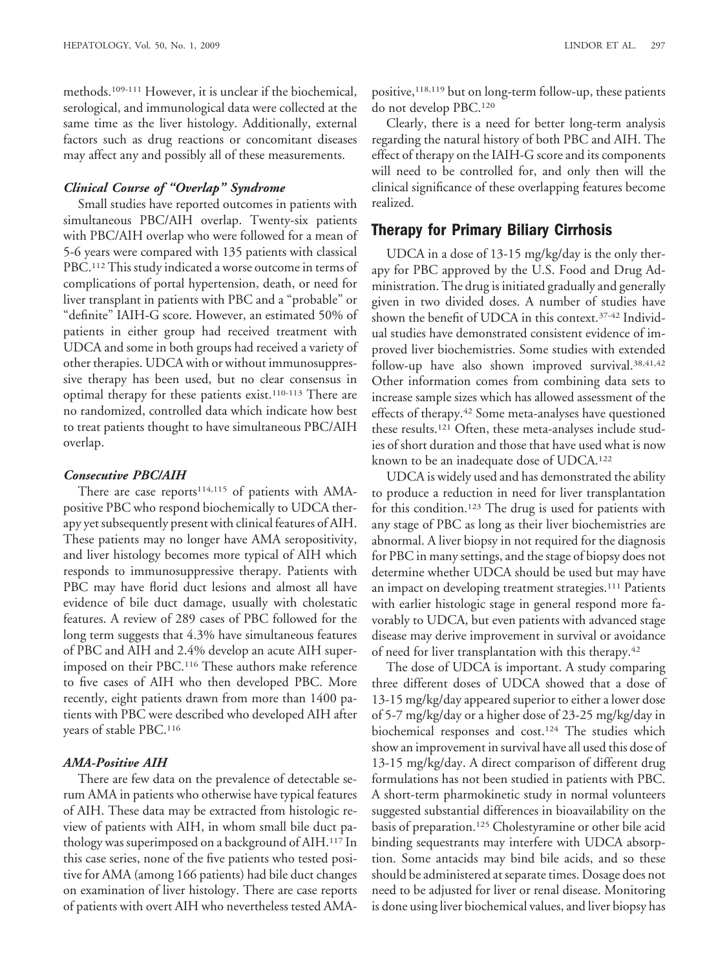methods.109-111 However, it is unclear if the biochemical, serological, and immunological data were collected at the same time as the liver histology. Additionally, external factors such as drug reactions or concomitant diseases may affect any and possibly all of these measurements.

### *Clinical Course of "Overlap" Syndrome*

Small studies have reported outcomes in patients with simultaneous PBC/AIH overlap. Twenty-six patients with PBC/AIH overlap who were followed for a mean of 5-6 years were compared with 135 patients with classical PBC.112 This study indicated a worse outcome in terms of complications of portal hypertension, death, or need for liver transplant in patients with PBC and a "probable" or "definite" IAIH-G score. However, an estimated 50% of patients in either group had received treatment with UDCA and some in both groups had received a variety of other therapies. UDCA with or without immunosuppressive therapy has been used, but no clear consensus in optimal therapy for these patients exist.110-113 There are no randomized, controlled data which indicate how best to treat patients thought to have simultaneous PBC/AIH overlap.

#### *Consecutive PBC/AIH*

There are case reports<sup>114,115</sup> of patients with AMApositive PBC who respond biochemically to UDCA therapy yet subsequently present with clinical features of AIH. These patients may no longer have AMA seropositivity, and liver histology becomes more typical of AIH which responds to immunosuppressive therapy. Patients with PBC may have florid duct lesions and almost all have evidence of bile duct damage, usually with cholestatic features. A review of 289 cases of PBC followed for the long term suggests that 4.3% have simultaneous features of PBC and AIH and 2.4% develop an acute AIH superimposed on their PBC.116 These authors make reference to five cases of AIH who then developed PBC. More recently, eight patients drawn from more than 1400 patients with PBC were described who developed AIH after years of stable PBC.116

### *AMA-Positive AIH*

There are few data on the prevalence of detectable serum AMA in patients who otherwise have typical features of AIH. These data may be extracted from histologic review of patients with AIH, in whom small bile duct pathology was superimposed on a background of AIH.117 In this case series, none of the five patients who tested positive for AMA (among 166 patients) had bile duct changes on examination of liver histology. There are case reports of patients with overt AIH who nevertheless tested AMA- positive,118,119 but on long-term follow-up, these patients do not develop PBC.120

Clearly, there is a need for better long-term analysis regarding the natural history of both PBC and AIH. The effect of therapy on the IAIH-G score and its components will need to be controlled for, and only then will the clinical significance of these overlapping features become realized.

## **Therapy for Primary Biliary Cirrhosis**

UDCA in a dose of 13-15 mg/kg/day is the only therapy for PBC approved by the U.S. Food and Drug Administration. The drug is initiated gradually and generally given in two divided doses. A number of studies have shown the benefit of UDCA in this context.<sup>37-42</sup> Individual studies have demonstrated consistent evidence of improved liver biochemistries. Some studies with extended follow-up have also shown improved survival.<sup>38,41,42</sup> Other information comes from combining data sets to increase sample sizes which has allowed assessment of the effects of therapy.42 Some meta-analyses have questioned these results.121 Often, these meta-analyses include studies of short duration and those that have used what is now known to be an inadequate dose of UDCA.122

UDCA is widely used and has demonstrated the ability to produce a reduction in need for liver transplantation for this condition.123 The drug is used for patients with any stage of PBC as long as their liver biochemistries are abnormal. A liver biopsy in not required for the diagnosis for PBC in many settings, and the stage of biopsy does not determine whether UDCA should be used but may have an impact on developing treatment strategies.<sup>111</sup> Patients with earlier histologic stage in general respond more favorably to UDCA, but even patients with advanced stage disease may derive improvement in survival or avoidance of need for liver transplantation with this therapy.42

The dose of UDCA is important. A study comparing three different doses of UDCA showed that a dose of 13-15 mg/kg/day appeared superior to either a lower dose of 5-7 mg/kg/day or a higher dose of 23-25 mg/kg/day in biochemical responses and cost.<sup>124</sup> The studies which show an improvement in survival have all used this dose of 13-15 mg/kg/day. A direct comparison of different drug formulations has not been studied in patients with PBC. A short-term pharmokinetic study in normal volunteers suggested substantial differences in bioavailability on the basis of preparation.125 Cholestyramine or other bile acid binding sequestrants may interfere with UDCA absorption. Some antacids may bind bile acids, and so these should be administered at separate times. Dosage does not need to be adjusted for liver or renal disease. Monitoring is done using liver biochemical values, and liver biopsy has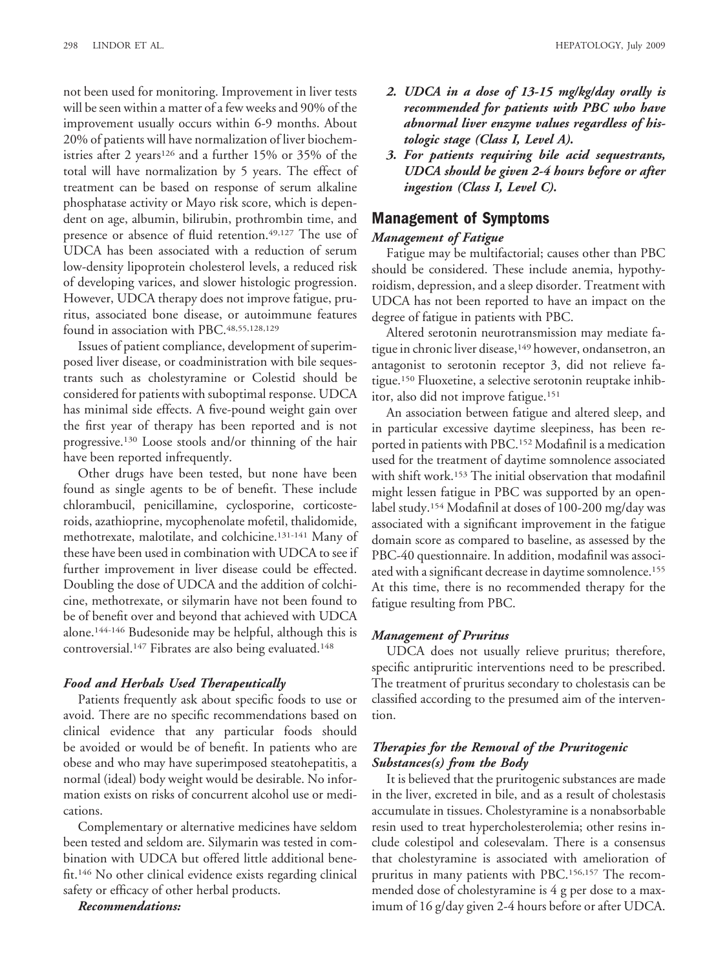not been used for monitoring. Improvement in liver tests will be seen within a matter of a few weeks and 90% of the improvement usually occurs within 6-9 months. About 20% of patients will have normalization of liver biochemistries after 2 years<sup>126</sup> and a further 15% or 35% of the total will have normalization by 5 years. The effect of treatment can be based on response of serum alkaline phosphatase activity or Mayo risk score, which is dependent on age, albumin, bilirubin, prothrombin time, and presence or absence of fluid retention.<sup>49,127</sup> The use of UDCA has been associated with a reduction of serum low-density lipoprotein cholesterol levels, a reduced risk of developing varices, and slower histologic progression. However, UDCA therapy does not improve fatigue, pruritus, associated bone disease, or autoimmune features found in association with PBC. 48,55,128,129

Issues of patient compliance, development of superimposed liver disease, or coadministration with bile sequestrants such as cholestyramine or Colestid should be considered for patients with suboptimal response. UDCA has minimal side effects. A five-pound weight gain over the first year of therapy has been reported and is not progressive.130 Loose stools and/or thinning of the hair have been reported infrequently.

Other drugs have been tested, but none have been found as single agents to be of benefit. These include chlorambucil, penicillamine, cyclosporine, corticosteroids, azathioprine, mycophenolate mofetil, thalidomide, methotrexate, malotilate, and colchicine.131-141 Many of these have been used in combination with UDCA to see if further improvement in liver disease could be effected. Doubling the dose of UDCA and the addition of colchicine, methotrexate, or silymarin have not been found to be of benefit over and beyond that achieved with UDCA alone.144-146 Budesonide may be helpful, although this is controversial.<sup>147</sup> Fibrates are also being evaluated.<sup>148</sup>

### *Food and Herbals Used Therapeutically*

Patients frequently ask about specific foods to use or avoid. There are no specific recommendations based on clinical evidence that any particular foods should be avoided or would be of benefit. In patients who are obese and who may have superimposed steatohepatitis, a normal (ideal) body weight would be desirable. No information exists on risks of concurrent alcohol use or medications.

Complementary or alternative medicines have seldom been tested and seldom are. Silymarin was tested in combination with UDCA but offered little additional benefit.146 No other clinical evidence exists regarding clinical safety or efficacy of other herbal products.

*Recommendations:*

- *2. UDCA in a dose of 13-15 mg/kg/day orally is recommended for patients with PBC who have abnormal liver enzyme values regardless of his-*
- *tologic stage (Class I, Level A). 3. For patients requiring bile acid sequestrants, UDCA should be given 2-4 hours before or after ingestion (Class I, Level C).*

# **Management of Symptoms**

# *Management of Fatigue*

Fatigue may be multifactorial; causes other than PBC should be considered. These include anemia, hypothyroidism, depression, and a sleep disorder. Treatment with UDCA has not been reported to have an impact on the degree of fatigue in patients with PBC.

Altered serotonin neurotransmission may mediate fatigue in chronic liver disease,<sup>149</sup> however, ondansetron, an antagonist to serotonin receptor 3, did not relieve fatigue.150 Fluoxetine, a selective serotonin reuptake inhibitor, also did not improve fatigue.151

An association between fatigue and altered sleep, and in particular excessive daytime sleepiness, has been reported in patients with PBC.152 Modafinil is a medication used for the treatment of daytime somnolence associated with shift work.153 The initial observation that modafinil might lessen fatigue in PBC was supported by an openlabel study.154 Modafinil at doses of 100-200 mg/day was associated with a significant improvement in the fatigue domain score as compared to baseline, as assessed by the PBC-40 questionnaire. In addition, modafinil was associated with a significant decrease in daytime somnolence.155 At this time, there is no recommended therapy for the fatigue resulting from PBC.

# *Management of Pruritus*

UDCA does not usually relieve pruritus; therefore, specific antipruritic interventions need to be prescribed. The treatment of pruritus secondary to cholestasis can be classified according to the presumed aim of the intervention.

# *Therapies for the Removal of the Pruritogenic Substances(s) from the Body*

It is believed that the pruritogenic substances are made in the liver, excreted in bile, and as a result of cholestasis accumulate in tissues. Cholestyramine is a nonabsorbable resin used to treat hypercholesterolemia; other resins include colestipol and colesevalam. There is a consensus that cholestyramine is associated with amelioration of pruritus in many patients with PBC.156,157 The recommended dose of cholestyramine is 4 g per dose to a maximum of 16 g/day given 2-4 hours before or after UDCA.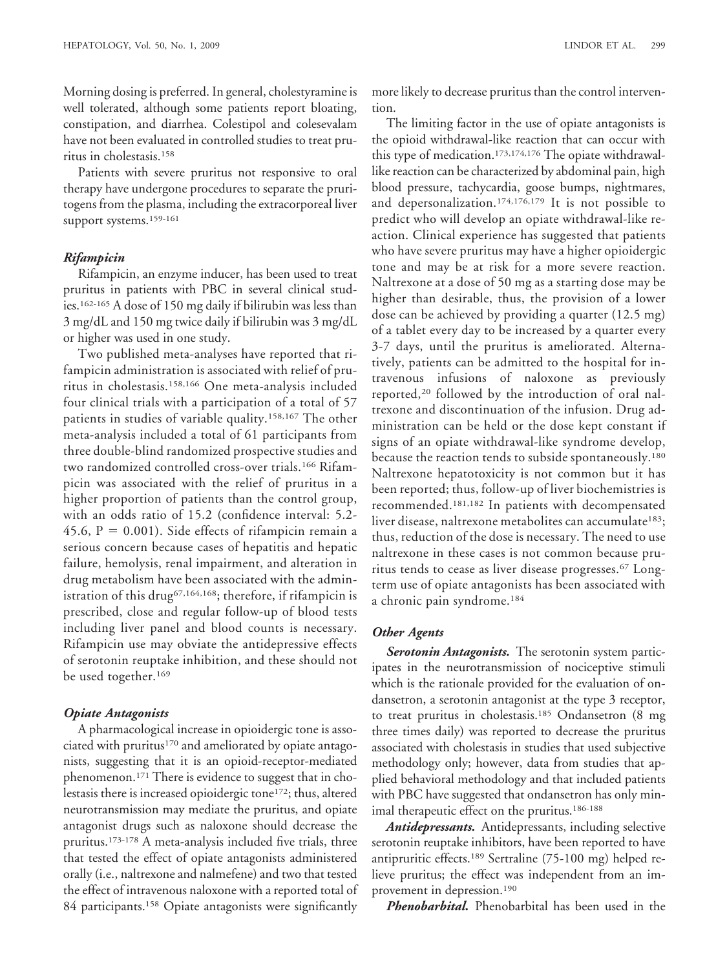Morning dosing is preferred. In general, cholestyramine is well tolerated, although some patients report bloating, constipation, and diarrhea. Colestipol and colesevalam have not been evaluated in controlled studies to treat pruritus in cholestasis.158

Patients with severe pruritus not responsive to oral therapy have undergone procedures to separate the pruritogens from the plasma, including the extracorporeal liver support systems.<sup>159-161</sup>

#### *Rifampicin*

Rifampicin, an enzyme inducer, has been used to treat pruritus in patients with PBC in several clinical studies.162-165 A dose of 150 mg daily if bilirubin was less than 3 mg/dL and 150 mg twice daily if bilirubin was 3 mg/dL or higher was used in one study.

Two published meta-analyses have reported that rifampicin administration is associated with relief of pruritus in cholestasis.158,166 One meta-analysis included four clinical trials with a participation of a total of 57 patients in studies of variable quality.158,167 The other meta-analysis included a total of 61 participants from three double-blind randomized prospective studies and two randomized controlled cross-over trials.166 Rifampicin was associated with the relief of pruritus in a higher proportion of patients than the control group, with an odds ratio of 15.2 (confidence interval: 5.2- 45.6,  $P = 0.001$ ). Side effects of rifampicin remain a serious concern because cases of hepatitis and hepatic failure, hemolysis, renal impairment, and alteration in drug metabolism have been associated with the administration of this drug67,164,168; therefore, if rifampicin is prescribed, close and regular follow-up of blood tests including liver panel and blood counts is necessary. Rifampicin use may obviate the antidepressive effects of serotonin reuptake inhibition, and these should not be used together.<sup>169</sup>

### *Opiate Antagonists*

A pharmacological increase in opioidergic tone is associated with pruritus<sup>170</sup> and ameliorated by opiate antagonists, suggesting that it is an opioid-receptor-mediated phenomenon.171 There is evidence to suggest that in cholestasis there is increased opioidergic tone172; thus, altered neurotransmission may mediate the pruritus, and opiate antagonist drugs such as naloxone should decrease the pruritus.173-178 A meta-analysis included five trials, three that tested the effect of opiate antagonists administered orally (i.e., naltrexone and nalmefene) and two that tested the effect of intravenous naloxone with a reported total of 84 participants.<sup>158</sup> Opiate antagonists were significantly

more likely to decrease pruritus than the control intervention.

The limiting factor in the use of opiate antagonists is the opioid withdrawal-like reaction that can occur with this type of medication.173,174,176 The opiate withdrawallike reaction can be characterized by abdominal pain, high blood pressure, tachycardia, goose bumps, nightmares, and depersonalization.174,176,179 It is not possible to predict who will develop an opiate withdrawal-like reaction. Clinical experience has suggested that patients who have severe pruritus may have a higher opioidergic tone and may be at risk for a more severe reaction. Naltrexone at a dose of 50 mg as a starting dose may be higher than desirable, thus, the provision of a lower dose can be achieved by providing a quarter (12.5 mg) of a tablet every day to be increased by a quarter every 3-7 days, until the pruritus is ameliorated. Alternatively, patients can be admitted to the hospital for intravenous infusions of naloxone as previously reported,20 followed by the introduction of oral naltrexone and discontinuation of the infusion. Drug administration can be held or the dose kept constant if signs of an opiate withdrawal-like syndrome develop, because the reaction tends to subside spontaneously.<sup>180</sup> Naltrexone hepatotoxicity is not common but it has been reported; thus, follow-up of liver biochemistries is recommended.181,182 In patients with decompensated liver disease, naltrexone metabolites can accumulate<sup>183</sup>; thus, reduction of the dose is necessary. The need to use naltrexone in these cases is not common because pruritus tends to cease as liver disease progresses.67 Longterm use of opiate antagonists has been associated with a chronic pain syndrome.184

#### *Other Agents*

*Serotonin Antagonists.* The serotonin system participates in the neurotransmission of nociceptive stimuli which is the rationale provided for the evaluation of ondansetron, a serotonin antagonist at the type 3 receptor, to treat pruritus in cholestasis.185 Ondansetron (8 mg three times daily) was reported to decrease the pruritus associated with cholestasis in studies that used subjective methodology only; however, data from studies that applied behavioral methodology and that included patients with PBC have suggested that ondansetron has only minimal therapeutic effect on the pruritus.<sup>186-188</sup>

*Antidepressants.* Antidepressants, including selective serotonin reuptake inhibitors, have been reported to have antipruritic effects.189 Sertraline (75-100 mg) helped relieve pruritus; the effect was independent from an improvement in depression.190

*Phenobarbital.* Phenobarbital has been used in the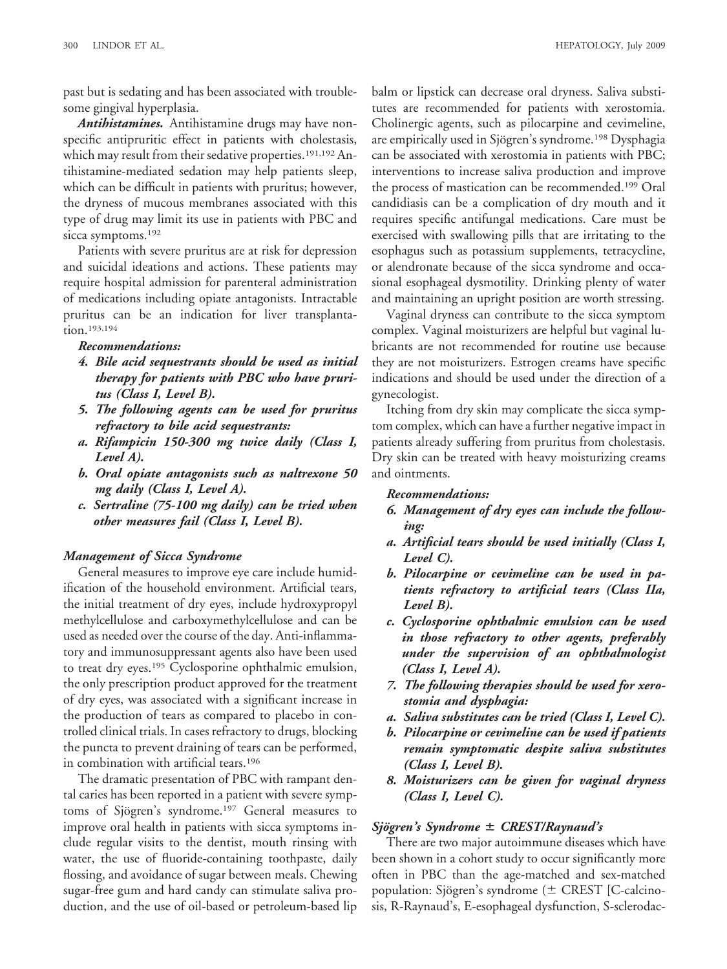past but is sedating and has been associated with troublesome gingival hyperplasia.

*Antihistamines.* Antihistamine drugs may have nonspecific antipruritic effect in patients with cholestasis, which may result from their sedative properties.<sup>191,192</sup> Antihistamine-mediated sedation may help patients sleep, which can be difficult in patients with pruritus; however, the dryness of mucous membranes associated with this type of drug may limit its use in patients with PBC and sicca symptoms.<sup>192</sup>

Patients with severe pruritus are at risk for depression and suicidal ideations and actions. These patients may require hospital admission for parenteral administration of medications including opiate antagonists. Intractable pruritus can be an indication for liver transplantation.193,194

### *Recommendations:*

- *4. Bile acid sequestrants should be used as initial therapy for patients with PBC who have pruritus (Class I, Level B).*
- *5. The following agents can be used for pruritus refractory to bile acid sequestrants:*
- *a. Rifampicin 150-300 mg twice daily (Class I, Level A).*
- *b. Oral opiate antagonists such as naltrexone 50 mg daily (Class I, Level A).*
- *c. Sertraline (75-100 mg daily) can be tried when other measures fail (Class I, Level B).*

### *Management of Sicca Syndrome*

General measures to improve eye care include humidification of the household environment. Artificial tears, the initial treatment of dry eyes, include hydroxypropyl methylcellulose and carboxymethylcellulose and can be used as needed over the course of the day. Anti-inflammatory and immunosuppressant agents also have been used to treat dry eyes.195 Cyclosporine ophthalmic emulsion, the only prescription product approved for the treatment of dry eyes, was associated with a significant increase in the production of tears as compared to placebo in controlled clinical trials. In cases refractory to drugs, blocking the puncta to prevent draining of tears can be performed, in combination with artificial tears.196

The dramatic presentation of PBC with rampant dental caries has been reported in a patient with severe symptoms of Sjögren's syndrome.<sup>197</sup> General measures to improve oral health in patients with sicca symptoms include regular visits to the dentist, mouth rinsing with water, the use of fluoride-containing toothpaste, daily flossing, and avoidance of sugar between meals. Chewing sugar-free gum and hard candy can stimulate saliva production, and the use of oil-based or petroleum-based lip

balm or lipstick can decrease oral dryness. Saliva substitutes are recommended for patients with xerostomia. Cholinergic agents, such as pilocarpine and cevimeline, are empirically used in Sjögren's syndrome.<sup>198</sup> Dysphagia can be associated with xerostomia in patients with PBC; interventions to increase saliva production and improve the process of mastication can be recommended.199 Oral candidiasis can be a complication of dry mouth and it requires specific antifungal medications. Care must be exercised with swallowing pills that are irritating to the esophagus such as potassium supplements, tetracycline, or alendronate because of the sicca syndrome and occasional esophageal dysmotility. Drinking plenty of water and maintaining an upright position are worth stressing.

Vaginal dryness can contribute to the sicca symptom complex. Vaginal moisturizers are helpful but vaginal lubricants are not recommended for routine use because they are not moisturizers. Estrogen creams have specific indications and should be used under the direction of a gynecologist.

Itching from dry skin may complicate the sicca symptom complex, which can have a further negative impact in patients already suffering from pruritus from cholestasis. Dry skin can be treated with heavy moisturizing creams and ointments.

#### *Recommendations:*

- *6. Management of dry eyes can include the following:*
- *a. Artificial tears should be used initially (Class I, Level C).*
- *b. Pilocarpine or cevimeline can be used in patients refractory to artificial tears (Class IIa, Level B).*
- *c. Cyclosporine ophthalmic emulsion can be used in those refractory to other agents, preferably under the supervision of an ophthalmologist (Class I, Level A).*
- *7. The following therapies should be used for xerostomia and dysphagia:*
- *a. Saliva substitutes can be tried (Class I, Level C).*
- *b. Pilocarpine or cevimeline can be used if patients remain symptomatic despite saliva substitutes (Class I, Level B).*
- *8. Moisturizers can be given for vaginal dryness (Class I, Level C).*

### *Sjo¨gren's Syndrome CREST/Raynaud's*

There are two major autoimmune diseases which have been shown in a cohort study to occur significantly more often in PBC than the age-matched and sex-matched population: Sjögren's syndrome (± CREST [C-calcinosis, R-Raynaud's, E-esophageal dysfunction, S-sclerodac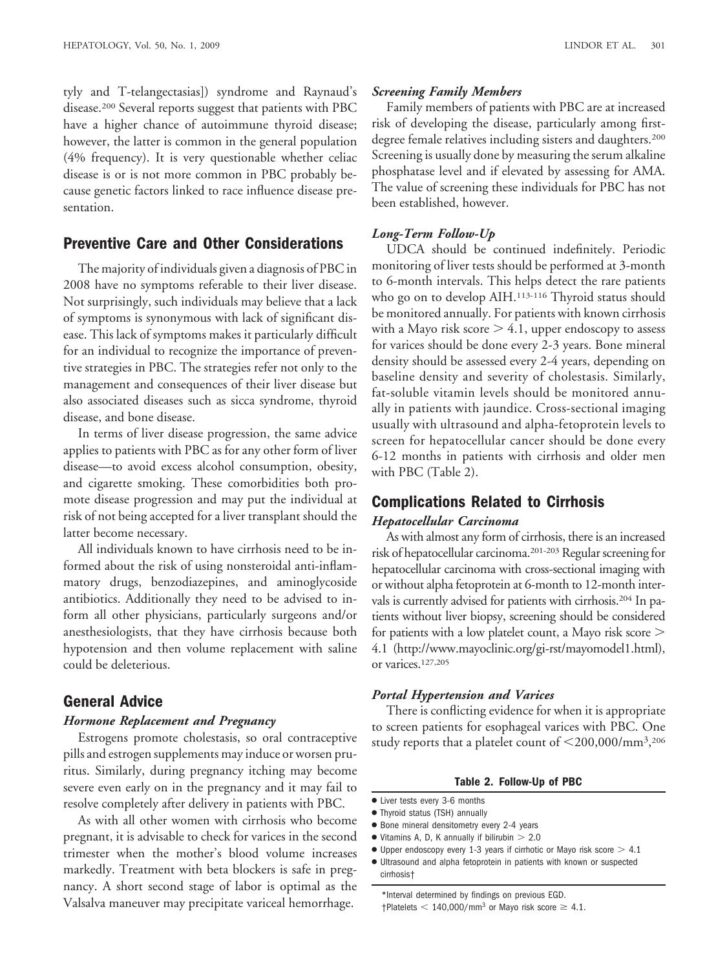tyly and T-telangectasias]) syndrome and Raynaud's disease.200 Several reports suggest that patients with PBC have a higher chance of autoimmune thyroid disease; however, the latter is common in the general population (4% frequency). It is very questionable whether celiac disease is or is not more common in PBC probably because genetic factors linked to race influence disease presentation.

# **Preventive Care and Other Considerations**

The majority of individuals given a diagnosis of PBC in 2008 have no symptoms referable to their liver disease. Not surprisingly, such individuals may believe that a lack of symptoms is synonymous with lack of significant disease. This lack of symptoms makes it particularly difficult for an individual to recognize the importance of preventive strategies in PBC. The strategies refer not only to the management and consequences of their liver disease but also associated diseases such as sicca syndrome, thyroid disease, and bone disease.

In terms of liver disease progression, the same advice applies to patients with PBC as for any other form of liver disease—to avoid excess alcohol consumption, obesity, and cigarette smoking. These comorbidities both promote disease progression and may put the individual at risk of not being accepted for a liver transplant should the latter become necessary.

All individuals known to have cirrhosis need to be informed about the risk of using nonsteroidal anti-inflammatory drugs, benzodiazepines, and aminoglycoside antibiotics. Additionally they need to be advised to inform all other physicians, particularly surgeons and/or anesthesiologists, that they have cirrhosis because both hypotension and then volume replacement with saline could be deleterious.

# **General Advice**

#### *Hormone Replacement and Pregnancy*

Estrogens promote cholestasis, so oral contraceptive pills and estrogen supplements may induce or worsen pruritus. Similarly, during pregnancy itching may become severe even early on in the pregnancy and it may fail to resolve completely after delivery in patients with PBC.

As with all other women with cirrhosis who become pregnant, it is advisable to check for varices in the second trimester when the mother's blood volume increases markedly. Treatment with beta blockers is safe in pregnancy. A short second stage of labor is optimal as the Valsalva maneuver may precipitate variceal hemorrhage.

#### *Screening Family Members*

Family members of patients with PBC are at increased risk of developing the disease, particularly among firstdegree female relatives including sisters and daughters.<sup>200</sup> Screening is usually done by measuring the serum alkaline phosphatase level and if elevated by assessing for AMA. The value of screening these individuals for PBC has not been established, however.

### *Long-Term Follow-Up*

UDCA should be continued indefinitely. Periodic monitoring of liver tests should be performed at 3-month to 6-month intervals. This helps detect the rare patients who go on to develop AIH.<sup>113-116</sup> Thyroid status should be monitored annually. For patients with known cirrhosis with a Mayo risk score  $> 4.1$ , upper endoscopy to assess for varices should be done every 2-3 years. Bone mineral density should be assessed every 2-4 years, depending on baseline density and severity of cholestasis. Similarly, fat-soluble vitamin levels should be monitored annually in patients with jaundice. Cross-sectional imaging usually with ultrasound and alpha-fetoprotein levels to screen for hepatocellular cancer should be done every 6-12 months in patients with cirrhosis and older men with PBC (Table 2).

# **Complications Related to Cirrhosis**

### *Hepatocellular Carcinoma*

As with almost any form of cirrhosis, there is an increased risk of hepatocellular carcinoma.<sup>201-203</sup> Regular screening for hepatocellular carcinoma with cross-sectional imaging with or without alpha fetoprotein at 6-month to 12-month intervals is currently advised for patients with cirrhosis.204 In patients without liver biopsy, screening should be considered for patients with a low platelet count, a Mayo risk score 4.1 (http://www.mayoclinic.org/gi-rst/mayomodel1.html), or varices.127,205

#### *Portal Hypertension and Varices*

There is conflicting evidence for when it is appropriate to screen patients for esophageal varices with PBC. One study reports that a platelet count of  $<$  200,000/mm<sup>3</sup>,<sup>206</sup>

#### **Table 2. Follow-Up of PBC**

- Bone mineral densitometry every 2-4 years
- $\bullet$  Vitamins A, D, K annually if bilirubin  $> 2.0$
- $\bullet$  Upper endoscopy every 1-3 years if cirrhotic or Mayo risk score  $> 4.1$ ● Ultrasound and alpha fetoprotein in patients with known or suspected
- cirrhosis†

<sup>●</sup> Liver tests every 3-6 months

<sup>●</sup> Thyroid status (TSH) annually

<sup>\*</sup>Interval determined by findings on previous EGD.  $\dagger$ Platelets < 140,000/mm<sup>3</sup> or Mayo risk score  $\geq 4.1$ .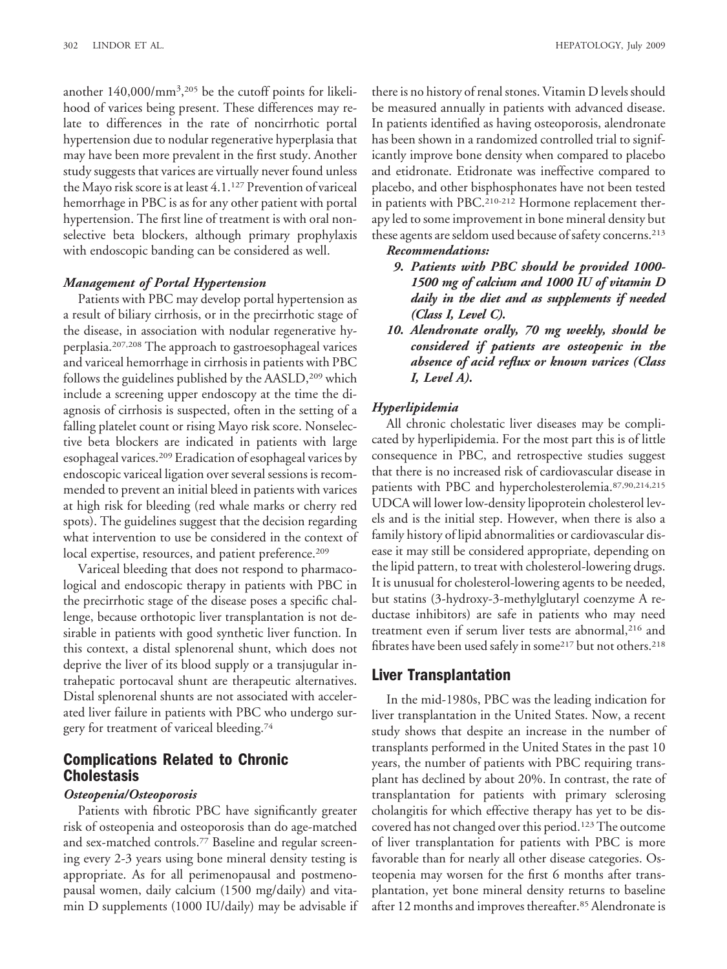another 140,000/mm3, <sup>205</sup> be the cutoff points for likelihood of varices being present. These differences may relate to differences in the rate of noncirrhotic portal hypertension due to nodular regenerative hyperplasia that may have been more prevalent in the first study. Another study suggests that varices are virtually never found unless the Mayo risk score is at least 4.1.127 Prevention of variceal hemorrhage in PBC is as for any other patient with portal hypertension. The first line of treatment is with oral nonselective beta blockers, although primary prophylaxis with endoscopic banding can be considered as well.

### *Management of Portal Hypertension*

Patients with PBC may develop portal hypertension as a result of biliary cirrhosis, or in the precirrhotic stage of the disease, in association with nodular regenerative hyperplasia.207,208 The approach to gastroesophageal varices and variceal hemorrhage in cirrhosis in patients with PBC follows the guidelines published by the AASLD,<sup>209</sup> which include a screening upper endoscopy at the time the diagnosis of cirrhosis is suspected, often in the setting of a falling platelet count or rising Mayo risk score. Nonselective beta blockers are indicated in patients with large esophageal varices.209 Eradication of esophageal varices by endoscopic variceal ligation over several sessions is recommended to prevent an initial bleed in patients with varices at high risk for bleeding (red whale marks or cherry red spots). The guidelines suggest that the decision regarding what intervention to use be considered in the context of local expertise, resources, and patient preference.<sup>209</sup>

Variceal bleeding that does not respond to pharmacological and endoscopic therapy in patients with PBC in the precirrhotic stage of the disease poses a specific challenge, because orthotopic liver transplantation is not desirable in patients with good synthetic liver function. In this context, a distal splenorenal shunt, which does not deprive the liver of its blood supply or a transjugular intrahepatic portocaval shunt are therapeutic alternatives. Distal splenorenal shunts are not associated with accelerated liver failure in patients with PBC who undergo surgery for treatment of variceal bleeding.74

# **Complications Related to Chronic Cholestasis**

### *Osteopenia/Osteoporosis*

Patients with fibrotic PBC have significantly greater risk of osteopenia and osteoporosis than do age-matched and sex-matched controls.77 Baseline and regular screening every 2-3 years using bone mineral density testing is appropriate. As for all perimenopausal and postmenopausal women, daily calcium (1500 mg/daily) and vitamin D supplements (1000 IU/daily) may be advisable if there is no history of renal stones. Vitamin D levels should be measured annually in patients with advanced disease. In patients identified as having osteoporosis, alendronate has been shown in a randomized controlled trial to significantly improve bone density when compared to placebo and etidronate. Etidronate was ineffective compared to placebo, and other bisphosphonates have not been tested in patients with PBC.210-212 Hormone replacement therapy led to some improvement in bone mineral density but these agents are seldom used because of safety concerns.213

#### *Recommendations:*

- *9. Patients with PBC should be provided 1000- 1500 mg of calcium and 1000 IU of vitamin D daily in the diet and as supplements if needed (Class I, Level C).*
- *10. Alendronate orally, 70 mg weekly, should be considered if patients are osteopenic in the absence of acid reflux or known varices (Class I, Level A).*

### *Hyperlipidemia*

All chronic cholestatic liver diseases may be complicated by hyperlipidemia. For the most part this is of little consequence in PBC, and retrospective studies suggest that there is no increased risk of cardiovascular disease in patients with PBC and hypercholesterolemia.87,90,214,215 UDCA will lower low-density lipoprotein cholesterol levels and is the initial step. However, when there is also a family history of lipid abnormalities or cardiovascular disease it may still be considered appropriate, depending on the lipid pattern, to treat with cholesterol-lowering drugs. It is unusual for cholesterol-lowering agents to be needed, but statins (3-hydroxy-3-methylglutaryl coenzyme A reductase inhibitors) are safe in patients who may need treatment even if serum liver tests are abnormal,<sup>216</sup> and fibrates have been used safely in some<sup>217</sup> but not others.<sup>218</sup>

### **Liver Transplantation**

In the mid-1980s, PBC was the leading indication for liver transplantation in the United States. Now, a recent study shows that despite an increase in the number of transplants performed in the United States in the past 10 years, the number of patients with PBC requiring transplant has declined by about 20%. In contrast, the rate of transplantation for patients with primary sclerosing cholangitis for which effective therapy has yet to be discovered has not changed over this period.<sup>123</sup> The outcome of liver transplantation for patients with PBC is more favorable than for nearly all other disease categories. Osteopenia may worsen for the first 6 months after transplantation, yet bone mineral density returns to baseline after 12 months and improves thereafter.85 Alendronate is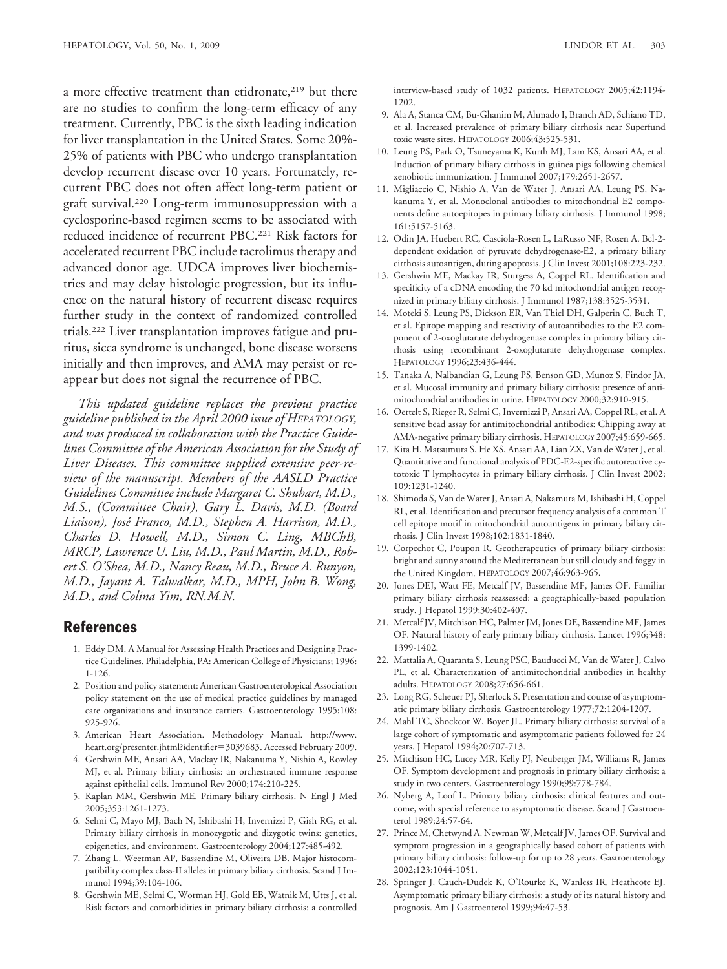a more effective treatment than etidronate,<sup>219</sup> but there are no studies to confirm the long-term efficacy of any treatment. Currently, PBC is the sixth leading indication for liver transplantation in the United States. Some 20%- 25% of patients with PBC who undergo transplantation develop recurrent disease over 10 years. Fortunately, recurrent PBC does not often affect long-term patient or graft survival.220 Long-term immunosuppression with a cyclosporine-based regimen seems to be associated with reduced incidence of recurrent PBC.221 Risk factors for accelerated recurrent PBC include tacrolimus therapy and advanced donor age. UDCA improves liver biochemistries and may delay histologic progression, but its influence on the natural history of recurrent disease requires further study in the context of randomized controlled trials.222 Liver transplantation improves fatigue and pruritus, sicca syndrome is unchanged, bone disease worsens initially and then improves, and AMA may persist or reappear but does not signal the recurrence of PBC.

*This updated guideline replaces the previous practice guideline published in the April 2000 issue of HEPATOLOGY, and was produced in collaboration with the Practice Guidelines Committee of the American Association for the Study of Liver Diseases. This committee supplied extensive peer-review of the manuscript. Members of the AASLD Practice Guidelines Committee include Margaret C. Shuhart, M.D., M.S., (Committee Chair), Gary L. Davis, M.D. (Board Liaison), Jose´ Franco, M.D., Stephen A. Harrison, M.D., Charles D. Howell, M.D., Simon C. Ling, MBChB, MRCP, Lawrence U. Liu, M.D., Paul Martin, M.D., Robert S. O'Shea, M.D., Nancy Reau, M.D., Bruce A. Runyon, M.D., Jayant A. Talwalkar, M.D., MPH, John B. Wong, M.D., and Colina Yim, RN.M.N.*

# **References**

- 1. Eddy DM. A Manual for Assessing Health Practices and Designing Practice Guidelines. Philadelphia, PA: American College of Physicians; 1996: 1-126.
- 2. Position and policy statement: American Gastroenterological Association policy statement on the use of medical practice guidelines by managed care organizations and insurance carriers. Gastroenterology 1995;108: 925-926.
- 3. American Heart Association. Methodology Manual. http://www. heart.org/presenter.jhtml?identifier=3039683. Accessed February 2009.
- 4. Gershwin ME, Ansari AA, Mackay IR, Nakanuma Y, Nishio A, Rowley MJ, et al. Primary biliary cirrhosis: an orchestrated immune response against epithelial cells. Immunol Rev 2000;174:210-225.
- 5. Kaplan MM, Gershwin ME. Primary biliary cirrhosis. N Engl J Med 2005;353:1261-1273.
- 6. Selmi C, Mayo MJ, Bach N, Ishibashi H, Invernizzi P, Gish RG, et al. Primary biliary cirrhosis in monozygotic and dizygotic twins: genetics, epigenetics, and environment. Gastroenterology 2004;127:485-492.
- 7. Zhang L, Weetman AP, Bassendine M, Oliveira DB. Major histocompatibility complex class-II alleles in primary biliary cirrhosis. Scand J Immunol 1994;39:104-106.
- 8. Gershwin ME, Selmi C, Worman HJ, Gold EB, Watnik M, Utts J, et al. Risk factors and comorbidities in primary biliary cirrhosis: a controlled

interview-based study of 1032 patients. HEPATOLOGY 2005;42:1194- 1202.

- 9. Ala A, Stanca CM, Bu-Ghanim M, Ahmado I, Branch AD, Schiano TD, et al. Increased prevalence of primary biliary cirrhosis near Superfund toxic waste sites. HEPATOLOGY 2006;43:525-531.
- 10. Leung PS, Park O, Tsuneyama K, Kurth MJ, Lam KS, Ansari AA, et al. Induction of primary biliary cirrhosis in guinea pigs following chemical xenobiotic immunization. J Immunol 2007;179:2651-2657.
- 11. Migliaccio C, Nishio A, Van de Water J, Ansari AA, Leung PS, Nakanuma Y, et al. Monoclonal antibodies to mitochondrial E2 components define autoepitopes in primary biliary cirrhosis. J Immunol 1998; 161:5157-5163.
- 12. Odin JA, Huebert RC, Casciola-Rosen L, LaRusso NF, Rosen A. Bcl-2 dependent oxidation of pyruvate dehydrogenase-E2, a primary biliary cirrhosis autoantigen, during apoptosis. J Clin Invest 2001;108:223-232.
- 13. Gershwin ME, Mackay IR, Sturgess A, Coppel RL. Identification and specificity of a cDNA encoding the 70 kd mitochondrial antigen recognized in primary biliary cirrhosis. J Immunol 1987;138:3525-3531.
- 14. Moteki S, Leung PS, Dickson ER, Van Thiel DH, Galperin C, Buch T, et al. Epitope mapping and reactivity of autoantibodies to the E2 component of 2-oxoglutarate dehydrogenase complex in primary biliary cirrhosis using recombinant 2-oxoglutarate dehydrogenase complex. HEPATOLOGY 1996;23:436-444.
- 15. Tanaka A, Nalbandian G, Leung PS, Benson GD, Munoz S, Findor JA, et al. Mucosal immunity and primary biliary cirrhosis: presence of antimitochondrial antibodies in urine. HEPATOLOGY 2000;32:910-915.
- 16. Oertelt S, Rieger R, Selmi C, Invernizzi P, Ansari AA, Coppel RL, et al. A sensitive bead assay for antimitochondrial antibodies: Chipping away at AMA-negative primary biliary cirrhosis. HEPATOLOGY 2007;45:659-665.
- 17. Kita H, Matsumura S, He XS, Ansari AA, Lian ZX, Van de Water J, et al. Quantitative and functional analysis of PDC-E2-specific autoreactive cytotoxic T lymphocytes in primary biliary cirrhosis. J Clin Invest 2002; 109:1231-1240.
- 18. Shimoda S, Van de Water J, Ansari A, Nakamura M, Ishibashi H, Coppel RL, et al. Identification and precursor frequency analysis of a common T cell epitope motif in mitochondrial autoantigens in primary biliary cirrhosis. J Clin Invest 1998;102:1831-1840.
- 19. Corpechot C, Poupon R. Geotherapeutics of primary biliary cirrhosis: bright and sunny around the Mediterranean but still cloudy and foggy in the United Kingdom. HEPATOLOGY 2007;46:963-965.
- 20. Jones DEJ, Watt FE, Metcalf JV, Bassendine MF, James OF. Familiar primary biliary cirrhosis reassessed: a geographically-based population study. J Hepatol 1999;30:402-407.
- 21. Metcalf JV, Mitchison HC, Palmer JM, Jones DE, Bassendine MF, James OF. Natural history of early primary biliary cirrhosis. Lancet 1996;348: 1399-1402.
- 22. Mattalia A, Quaranta S, Leung PSC, Bauducci M, Van de Water J, Calvo PL, et al. Characterization of antimitochondrial antibodies in healthy adults. HEPATOLOGY 2008;27:656-661.
- 23. Long RG, Scheuer PJ, Sherlock S. Presentation and course of asymptomatic primary biliary cirrhosis. Gastroenterology 1977;72:1204-1207.
- 24. Mahl TC, Shockcor W, Boyer JL. Primary biliary cirrhosis: survival of a large cohort of symptomatic and asymptomatic patients followed for 24 years. J Hepatol 1994;20:707-713.
- 25. Mitchison HC, Lucey MR, Kelly PJ, Neuberger JM, Williams R, James OF. Symptom development and prognosis in primary biliary cirrhosis: a study in two centers. Gastroenterology 1990;99:778-784.
- 26. Nyberg A, Loof L. Primary biliary cirrhosis: clinical features and outcome, with special reference to asymptomatic disease. Scand J Gastroenterol 1989;24:57-64.
- 27. Prince M, Chetwynd A, Newman W, Metcalf JV, James OF. Survival and symptom progression in a geographically based cohort of patients with primary biliary cirrhosis: follow-up for up to 28 years. Gastroenterology 2002;123:1044-1051.
- 28. Springer J, Cauch-Dudek K, O'Rourke K, Wanless IR, Heathcote EJ. Asymptomatic primary biliary cirrhosis: a study of its natural history and prognosis. Am J Gastroenterol 1999;94:47-53.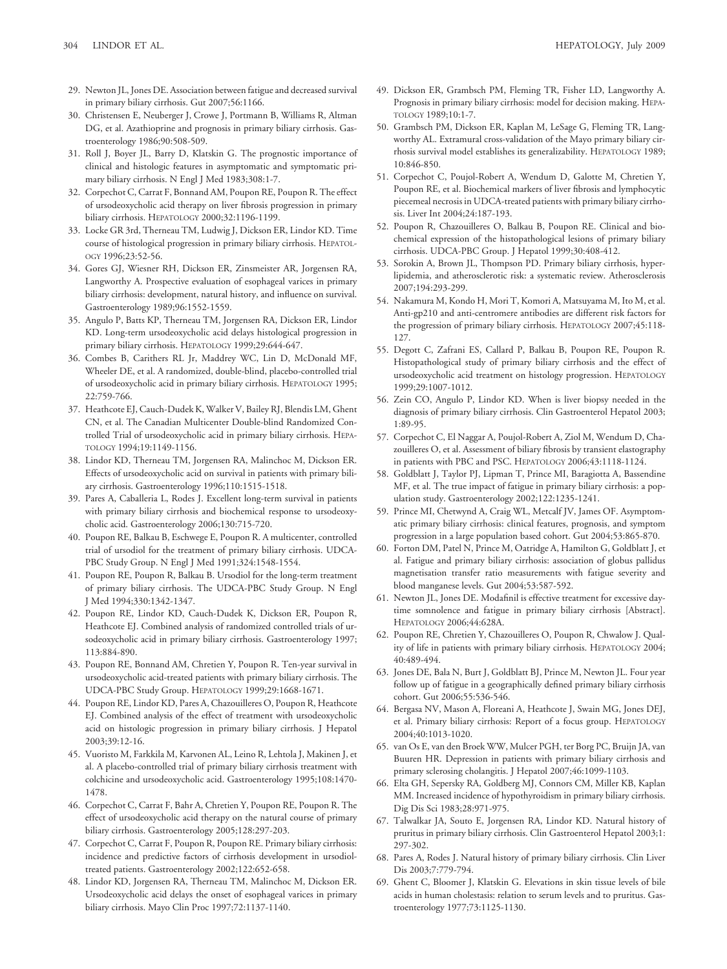- 29. Newton JL, Jones DE. Association between fatigue and decreased survival in primary biliary cirrhosis. Gut 2007;56:1166.
- 30. Christensen E, Neuberger J, Crowe J, Portmann B, Williams R, Altman DG, et al. Azathioprine and prognosis in primary biliary cirrhosis. Gastroenterology 1986;90:508-509.
- 31. Roll J, Boyer JL, Barry D, Klatskin G. The prognostic importance of clinical and histologic features in asymptomatic and symptomatic primary biliary cirrhosis. N Engl J Med 1983;308:1-7.
- 32. Corpechot C, Carrat F, Bonnand AM, Poupon RE, Poupon R. The effect of ursodeoxycholic acid therapy on liver fibrosis progression in primary biliary cirrhosis. HEPATOLOGY 2000;32:1196-1199.
- 33. Locke GR 3rd, Therneau TM, Ludwig J, Dickson ER, Lindor KD. Time course of histological progression in primary biliary cirrhosis. HEPATOL-OGY 1996;23:52-56.
- 34. Gores GJ, Wiesner RH, Dickson ER, Zinsmeister AR, Jorgensen RA, Langworthy A. Prospective evaluation of esophageal varices in primary biliary cirrhosis: development, natural history, and influence on survival. Gastroenterology 1989;96:1552-1559.
- 35. Angulo P, Batts KP, Therneau TM, Jorgensen RA, Dickson ER, Lindor KD. Long-term ursodeoxycholic acid delays histological progression in primary biliary cirrhosis. HEPATOLOGY 1999;29:644-647.
- 36. Combes B, Carithers RL Jr, Maddrey WC, Lin D, McDonald MF, Wheeler DE, et al. A randomized, double-blind, placebo-controlled trial of ursodeoxycholic acid in primary biliary cirrhosis. HEPATOLOGY 1995; 22:759-766.
- 37. Heathcote EJ, Cauch-Dudek K, Walker V, Bailey RJ, Blendis LM, Ghent CN, et al. The Canadian Multicenter Double-blind Randomized Controlled Trial of ursodeoxycholic acid in primary biliary cirrhosis. HEPA-TOLOGY 1994;19:1149-1156.
- 38. Lindor KD, Therneau TM, Jorgensen RA, Malinchoc M, Dickson ER. Effects of ursodeoxycholic acid on survival in patients with primary biliary cirrhosis. Gastroenterology 1996;110:1515-1518.
- 39. Pares A, Caballeria L, Rodes J. Excellent long-term survival in patients with primary biliary cirrhosis and biochemical response to ursodeoxycholic acid. Gastroenterology 2006;130:715-720.
- 40. Poupon RE, Balkau B, Eschwege E, Poupon R. A multicenter, controlled trial of ursodiol for the treatment of primary biliary cirrhosis. UDCA-PBC Study Group. N Engl J Med 1991;324:1548-1554.
- 41. Poupon RE, Poupon R, Balkau B. Ursodiol for the long-term treatment of primary biliary cirrhosis. The UDCA-PBC Study Group. N Engl J Med 1994;330:1342-1347.
- 42. Poupon RE, Lindor KD, Cauch-Dudek K, Dickson ER, Poupon R, Heathcote EJ. Combined analysis of randomized controlled trials of ursodeoxycholic acid in primary biliary cirrhosis. Gastroenterology 1997; 113:884-890.
- 43. Poupon RE, Bonnand AM, Chretien Y, Poupon R. Ten-year survival in ursodeoxycholic acid-treated patients with primary biliary cirrhosis. The UDCA-PBC Study Group. HEPATOLOGY 1999;29:1668-1671.
- 44. Poupon RE, Lindor KD, Pares A, Chazouilleres O, Poupon R, Heathcote EJ. Combined analysis of the effect of treatment with ursodeoxycholic acid on histologic progression in primary biliary cirrhosis. J Hepatol 2003;39:12-16.
- 45. Vuoristo M, Farkkila M, Karvonen AL, Leino R, Lehtola J, Makinen J, et al. A placebo-controlled trial of primary biliary cirrhosis treatment with colchicine and ursodeoxycholic acid. Gastroenterology 1995;108:1470- 1478.
- 46. Corpechot C, Carrat F, Bahr A, Chretien Y, Poupon RE, Poupon R. The effect of ursodeoxycholic acid therapy on the natural course of primary biliary cirrhosis. Gastroenterology 2005;128:297-203.
- 47. Corpechot C, Carrat F, Poupon R, Poupon RE. Primary biliary cirrhosis: incidence and predictive factors of cirrhosis development in ursodioltreated patients. Gastroenterology 2002;122:652-658.
- 48. Lindor KD, Jorgensen RA, Therneau TM, Malinchoc M, Dickson ER. Ursodeoxycholic acid delays the onset of esophageal varices in primary biliary cirrhosis. Mayo Clin Proc 1997;72:1137-1140.
- 49. Dickson ER, Grambsch PM, Fleming TR, Fisher LD, Langworthy A. Prognosis in primary biliary cirrhosis: model for decision making. HEPA-TOLOGY 1989;10:1-7.
- 50. Grambsch PM, Dickson ER, Kaplan M, LeSage G, Fleming TR, Langworthy AL. Extramural cross-validation of the Mayo primary biliary cirrhosis survival model establishes its generalizability. HEPATOLOGY 1989; 10:846-850.
- 51. Corpechot C, Poujol-Robert A, Wendum D, Galotte M, Chretien Y, Poupon RE, et al. Biochemical markers of liver fibrosis and lymphocytic piecemeal necrosis in UDCA-treated patients with primary biliary cirrhosis. Liver Int 2004;24:187-193.
- 52. Poupon R, Chazouilleres O, Balkau B, Poupon RE. Clinical and biochemical expression of the histopathological lesions of primary biliary cirrhosis. UDCA-PBC Group. J Hepatol 1999;30:408-412.
- 53. Sorokin A, Brown JL, Thompson PD. Primary biliary cirrhosis, hyperlipidemia, and atherosclerotic risk: a systematic review. Atherosclerosis 2007;194:293-299.
- 54. Nakamura M, Kondo H, Mori T, Komori A, Matsuyama M, Ito M, et al. Anti-gp210 and anti-centromere antibodies are different risk factors for the progression of primary biliary cirrhosis. HEPATOLOGY 2007;45:118- 127.
- 55. Degott C, Zafrani ES, Callard P, Balkau B, Poupon RE, Poupon R. Histopathological study of primary biliary cirrhosis and the effect of ursodeoxycholic acid treatment on histology progression. HEPATOLOGY 1999;29:1007-1012.
- 56. Zein CO, Angulo P, Lindor KD. When is liver biopsy needed in the diagnosis of primary biliary cirrhosis. Clin Gastroenterol Hepatol 2003; 1:89-95.
- 57. Corpechot C, El Naggar A, Poujol-Robert A, Ziol M, Wendum D, Chazouilleres O, et al. Assessment of biliary fibrosis by transient elastography in patients with PBC and PSC. HEPATOLOGY 2006;43:1118-1124.
- 58. Goldblatt J, Taylor PJ, Lipman T, Prince MI, Baragiotta A, Bassendine MF, et al. The true impact of fatigue in primary biliary cirrhosis: a population study. Gastroenterology 2002;122:1235-1241.
- 59. Prince MI, Chetwynd A, Craig WL, Metcalf JV, James OF. Asymptomatic primary biliary cirrhosis: clinical features, prognosis, and symptom progression in a large population based cohort. Gut 2004;53:865-870.
- 60. Forton DM, Patel N, Prince M, Oatridge A, Hamilton G, Goldblatt J, et al. Fatigue and primary biliary cirrhosis: association of globus pallidus magnetisation transfer ratio measurements with fatigue severity and blood manganese levels. Gut 2004;53:587-592.
- 61. Newton JL, Jones DE. Modafinil is effective treatment for excessive daytime somnolence and fatigue in primary biliary cirrhosis [Abstract]. HEPATOLOGY 2006;44:628A.
- 62. Poupon RE, Chretien Y, Chazouilleres O, Poupon R, Chwalow J. Quality of life in patients with primary biliary cirrhosis. HEPATOLOGY 2004; 40:489-494.
- 63. Jones DE, Bala N, Burt J, Goldblatt BJ, Prince M, Newton JL. Four year follow up of fatigue in a geographically defined primary biliary cirrhosis cohort. Gut 2006;55:536-546.
- 64. Bergasa NV, Mason A, Floreani A, Heathcote J, Swain MG, Jones DEJ, et al. Primary biliary cirrhosis: Report of a focus group. HEPATOLOGY 2004;40:1013-1020.
- 65. van Os E, van den Broek WW, Mulcer PGH, ter Borg PC, Bruijn JA, van Buuren HR. Depression in patients with primary biliary cirrhosis and primary sclerosing cholangitis. J Hepatol 2007;46:1099-1103.
- 66. Elta GH, Sepersky RA, Goldberg MJ, Connors CM, Miller KB, Kaplan MM. Increased incidence of hypothyroidism in primary biliary cirrhosis. Dig Dis Sci 1983;28:971-975.
- 67. Talwalkar JA, Souto E, Jorgensen RA, Lindor KD. Natural history of pruritus in primary biliary cirrhosis. Clin Gastroenterol Hepatol 2003;1: 297-302.
- 68. Pares A, Rodes J. Natural history of primary biliary cirrhosis. Clin Liver Dis 2003;7:779-794.
- 69. Ghent C, Bloomer J, Klatskin G. Elevations in skin tissue levels of bile acids in human cholestasis: relation to serum levels and to pruritus. Gastroenterology 1977;73:1125-1130.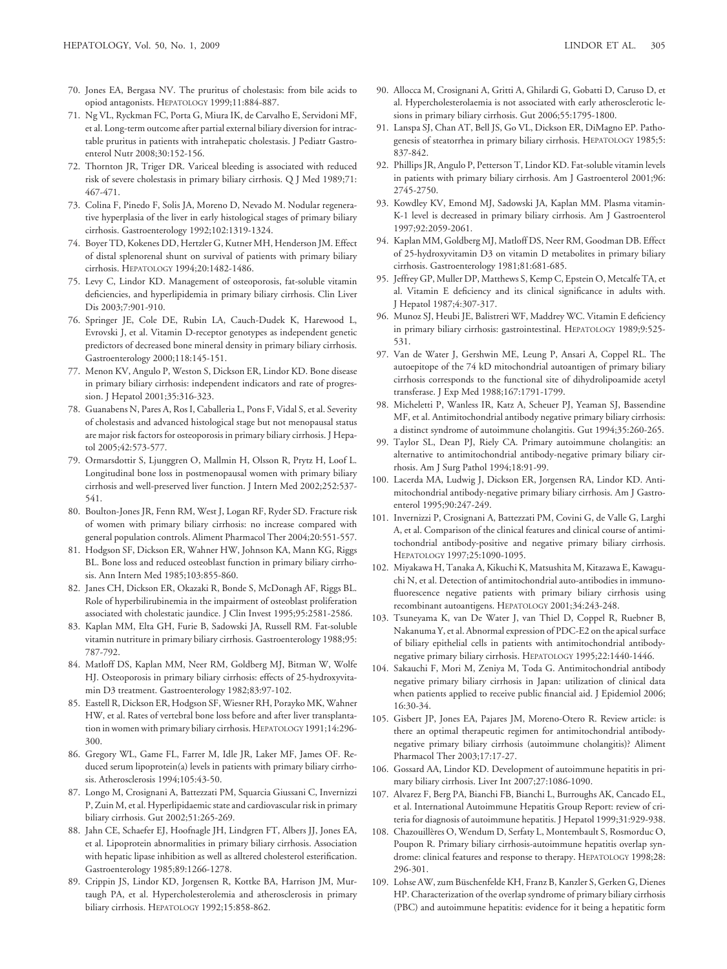- 70. Jones EA, Bergasa NV. The pruritus of cholestasis: from bile acids to opiod antagonists. HEPATOLOGY 1999;11:884-887.
- 71. Ng VL, Ryckman FC, Porta G, Miura IK, de Carvalho E, Servidoni MF, et al. Long-term outcome after partial external biliary diversion for intractable pruritus in patients with intrahepatic cholestasis. J Pediatr Gastroenterol Nutr 2008;30:152-156.
- 72. Thornton JR, Triger DR. Variceal bleeding is associated with reduced risk of severe cholestasis in primary biliary cirrhosis. Q J Med 1989;71: 467-471.
- 73. Colina F, Pinedo F, Solis JA, Moreno D, Nevado M. Nodular regenerative hyperplasia of the liver in early histological stages of primary biliary cirrhosis. Gastroenterology 1992;102:1319-1324.
- 74. Boyer TD, Kokenes DD, Hertzler G, Kutner MH, Henderson JM. Effect of distal splenorenal shunt on survival of patients with primary biliary cirrhosis. HEPATOLOGY 1994;20:1482-1486.
- 75. Levy C, Lindor KD. Management of osteoporosis, fat-soluble vitamin deficiencies, and hyperlipidemia in primary biliary cirrhosis. Clin Liver Dis 2003;7:901-910.
- 76. Springer JE, Cole DE, Rubin LA, Cauch-Dudek K, Harewood L, Evrovski J, et al. Vitamin D-receptor genotypes as independent genetic predictors of decreased bone mineral density in primary biliary cirrhosis. Gastroenterology 2000;118:145-151.
- 77. Menon KV, Angulo P, Weston S, Dickson ER, Lindor KD. Bone disease in primary biliary cirrhosis: independent indicators and rate of progression. J Hepatol 2001;35:316-323.
- 78. Guanabens N, Pares A, Ros I, Caballeria L, Pons F, Vidal S, et al. Severity of cholestasis and advanced histological stage but not menopausal status are major risk factors for osteoporosis in primary biliary cirrhosis. J Hepatol 2005;42:573-577.
- 79. Ormarsdottir S, Ljunggren O, Mallmin H, Olsson R, Prytz H, Loof L. Longitudinal bone loss in postmenopausal women with primary biliary cirrhosis and well-preserved liver function. J Intern Med 2002;252:537- 541.
- 80. Boulton-Jones JR, Fenn RM, West J, Logan RF, Ryder SD. Fracture risk of women with primary biliary cirrhosis: no increase compared with general population controls. Aliment Pharmacol Ther 2004;20:551-557.
- 81. Hodgson SF, Dickson ER, Wahner HW, Johnson KA, Mann KG, Riggs BL. Bone loss and reduced osteoblast function in primary biliary cirrhosis. Ann Intern Med 1985;103:855-860.
- 82. Janes CH, Dickson ER, Okazaki R, Bonde S, McDonagh AF, Riggs BL. Role of hyperbilirubinemia in the impairment of osteoblast proliferation associated with cholestatic jaundice. J Clin Invest 1995;95:2581-2586.
- 83. Kaplan MM, Elta GH, Furie B, Sadowski JA, Russell RM. Fat-soluble vitamin nutriture in primary biliary cirrhosis. Gastroenterology 1988;95: 787-792.
- 84. Matloff DS, Kaplan MM, Neer RM, Goldberg MJ, Bitman W, Wolfe HJ. Osteoporosis in primary biliary cirrhosis: effects of 25-hydroxyvitamin D3 treatment. Gastroenterology 1982;83:97-102.
- 85. Eastell R, Dickson ER, Hodgson SF, Wiesner RH, Porayko MK, Wahner HW, et al. Rates of vertebral bone loss before and after liver transplantation in women with primary biliary cirrhosis. HEPATOLOGY 1991;14:296- 300.
- 86. Gregory WL, Game FL, Farrer M, Idle JR, Laker MF, James OF. Reduced serum lipoprotein(a) levels in patients with primary biliary cirrhosis. Atherosclerosis 1994;105:43-50.
- 87. Longo M, Crosignani A, Battezzati PM, Squarcia Giussani C, Invernizzi P, Zuin M, et al. Hyperlipidaemic state and cardiovascular risk in primary biliary cirrhosis. Gut 2002;51:265-269.
- 88. Jahn CE, Schaefer EJ, Hoofnagle JH, Lindgren FT, Albers JJ, Jones EA, et al. Lipoprotein abnormalities in primary biliary cirrhosis. Association with hepatic lipase inhibition as well as alltered cholesterol esterification. Gastroenterology 1985;89:1266-1278.
- 89. Crippin JS, Lindor KD, Jorgensen R, Kottke BA, Harrison JM, Murtaugh PA, et al. Hypercholesterolemia and atherosclerosis in primary biliary cirrhosis. HEPATOLOGY 1992;15:858-862.
- 90. Allocca M, Crosignani A, Gritti A, Ghilardi G, Gobatti D, Caruso D, et al. Hypercholesterolaemia is not associated with early atherosclerotic lesions in primary biliary cirrhosis. Gut 2006;55:1795-1800.
- 91. Lanspa SJ, Chan AT, Bell JS, Go VL, Dickson ER, DiMagno EP. Pathogenesis of steatorrhea in primary biliary cirrhosis. HEPATOLOGY 1985;5: 837-842.
- 92. Phillips JR, Angulo P, Petterson T, Lindor KD. Fat-soluble vitamin levels in patients with primary biliary cirrhosis. Am J Gastroenterol 2001;96: 2745-2750.
- 93. Kowdley KV, Emond MJ, Sadowski JA, Kaplan MM. Plasma vitamin-K-1 level is decreased in primary biliary cirrhosis. Am J Gastroenterol 1997;92:2059-2061.
- 94. Kaplan MM, Goldberg MJ, Matloff DS, Neer RM, Goodman DB. Effect of 25-hydroxyvitamin D3 on vitamin D metabolites in primary biliary cirrhosis. Gastroenterology 1981;81:681-685.
- 95. Jeffrey GP, Muller DP, Matthews S, Kemp C, Epstein O, Metcalfe TA, et al. Vitamin E deficiency and its clinical significance in adults with. J Hepatol 1987;4:307-317.
- 96. Munoz SJ, Heubi JE, Balistreri WF, Maddrey WC. Vitamin E deficiency in primary biliary cirrhosis: gastrointestinal. HEPATOLOGY 1989;9:525- 531.
- 97. Van de Water J, Gershwin ME, Leung P, Ansari A, Coppel RL. The autoepitope of the 74 kD mitochondrial autoantigen of primary biliary cirrhosis corresponds to the functional site of dihydrolipoamide acetyl transferase. J Exp Med 1988;167:1791-1799.
- 98. Micheletti P, Wanless IR, Katz A, Scheuer PJ, Yeaman SJ, Bassendine MF, et al. Antimitochondrial antibody negative primary biliary cirrhosis: a distinct syndrome of autoimmune cholangitis. Gut 1994;35:260-265.
- 99. Taylor SL, Dean PJ, Riely CA. Primary autoimmune cholangitis: an alternative to antimitochondrial antibody-negative primary biliary cirrhosis. Am J Surg Pathol 1994;18:91-99.
- 100. Lacerda MA, Ludwig J, Dickson ER, Jorgensen RA, Lindor KD. Antimitochondrial antibody-negative primary biliary cirrhosis. Am J Gastroenterol 1995;90:247-249.
- 101. Invernizzi P, Crosignani A, Battezzati PM, Covini G, de Valle G, Larghi A, et al. Comparison of the clinical features and clinical course of antimitochondrial antibody-positive and negative primary biliary cirrhosis. HEPATOLOGY 1997;25:1090-1095.
- 102. Miyakawa H, Tanaka A, Kikuchi K, Matsushita M, Kitazawa E, Kawaguchi N, et al. Detection of antimitochondrial auto-antibodies in immunofluorescence negative patients with primary biliary cirrhosis using recombinant autoantigens. HEPATOLOGY 2001;34:243-248.
- 103. Tsuneyama K, van De Water J, van Thiel D, Coppel R, Ruebner B, Nakanuma Y, et al. Abnormal expression of PDC-E2 on the apical surface of biliary epithelial cells in patients with antimitochondrial antibodynegative primary biliary cirrhosis. HEPATOLOGY 1995;22:1440-1446.
- 104. Sakauchi F, Mori M, Zeniya M, Toda G. Antimitochondrial antibody negative primary biliary cirrhosis in Japan: utilization of clinical data when patients applied to receive public financial aid. J Epidemiol 2006; 16:30-34.
- 105. Gisbert JP, Jones EA, Pajares JM, Moreno-Otero R. Review article: is there an optimal therapeutic regimen for antimitochondrial antibodynegative primary biliary cirrhosis (autoimmune cholangitis)? Aliment Pharmacol Ther 2003;17:17-27.
- 106. Gossard AA, Lindor KD. Development of autoimmune hepatitis in primary biliary cirrhosis. Liver Int 2007;27:1086-1090.
- 107. Alvarez F, Berg PA, Bianchi FB, Bianchi L, Burroughs AK, Cancado EL, et al. International Autoimmune Hepatitis Group Report: review of criteria for diagnosis of autoimmune hepatitis. J Hepatol 1999;31:929-938.
- 108. Chazouillères O, Wendum D, Serfaty L, Montembault S, Rosmorduc O, Poupon R. Primary biliary cirrhosis-autoimmune hepatitis overlap syndrome: clinical features and response to therapy. HEPATOLOGY 1998;28: 296-301.
- 109. Lohse AW, zum Büschenfelde KH, Franz B, Kanzler S, Gerken G, Dienes HP. Characterization of the overlap syndrome of primary biliary cirrhosis (PBC) and autoimmune hepatitis: evidence for it being a hepatitic form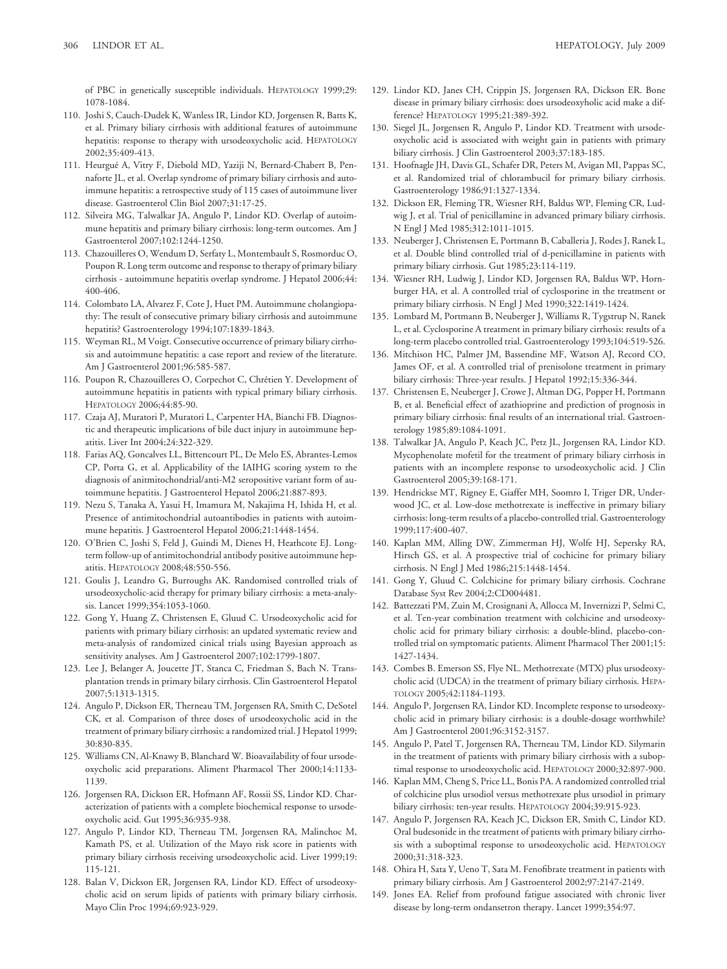of PBC in genetically susceptible individuals. HEPATOLOGY 1999;29: 1078-1084.

- 110. Joshi S, Cauch-Dudek K, Wanless IR, Lindor KD, Jorgensen R, Batts K, et al. Primary biliary cirrhosis with additional features of autoimmune hepatitis: response to therapy with ursodeoxycholic acid. HEPATOLOGY 2002;35:409-413.
- 111. Heurgué A, Vitry F, Diebold MD, Yaziji N, Bernard-Chabert B, Pennaforte JL, et al. Overlap syndrome of primary biliary cirrhosis and autoimmune hepatitis: a retrospective study of 115 cases of autoimmune liver disease. Gastroenterol Clin Biol 2007;31:17-25.
- 112. Silveira MG, Talwalkar JA, Angulo P, Lindor KD. Overlap of autoimmune hepatitis and primary biliary cirrhosis: long-term outcomes. Am J Gastroenterol 2007;102:1244-1250.
- 113. Chazouilleres O, Wendum D, Serfaty L, Montembault S, Rosmorduc O, Poupon R. Long term outcome and response to therapy of primary biliary cirrhosis - autoimmune hepatitis overlap syndrome. J Hepatol 2006;44: 400-406.
- 114. Colombato LA, Alvarez F, Cote J, Huet PM. Autoimmune cholangiopathy: The result of consecutive primary biliary cirrhosis and autoimmune hepatitis? Gastroenterology 1994;107:1839-1843.
- 115. Weyman RL, M Voigt. Consecutive occurrence of primary biliary cirrhosis and autoimmune hepatitis: a case report and review of the literature. Am J Gastroenterol 2001;96:585-587.
- 116. Poupon R, Chazouilleres O, Corpechot C, Chrétien Y. Development of autoimmune hepatitis in patients with typical primary biliary cirrhosis. HEPATOLOGY 2006;44:85-90.
- 117. Czaja AJ, Muratori P, Muratori L, Carpenter HA, Bianchi FB. Diagnostic and therapeutic implications of bile duct injury in autoimmune hepatitis. Liver Int 2004;24:322-329.
- 118. Farias AQ, Goncalves LL, Bittencourt PL, De Melo ES, Abrantes-Lemos CP, Porta G, et al. Applicability of the IAIHG scoring system to the diagnosis of anitmitochondrial/anti-M2 seropositive variant form of autoimmune hepatitis. J Gastroenterol Hepatol 2006;21:887-893.
- 119. Nezu S, Tanaka A, Yasui H, Imamura M, Nakajima H, Ishida H, et al. Presence of antimitochondrial autoantibodies in patients with autoimmune hepatitis. J Gastroenterol Hepatol 2006;21:1448-1454.
- 120. O'Brien C, Joshi S, Feld J, Guindi M, Dienes H, Heathcote EJ. Longterm follow-up of antimitochondrial antibody positive autoimmune hepatitis. HEPATOLOGY 2008;48:550-556.
- 121. Goulis J, Leandro G, Burroughs AK. Randomised controlled trials of ursodeoxycholic-acid therapy for primary biliary cirrhosis: a meta-analysis. Lancet 1999;354:1053-1060.
- 122. Gong Y, Huang Z, Christensen E, Gluud C. Ursodeoxycholic acid for patients with primary biliary cirrhosis: an updated systematic review and meta-analysis of randomized cinical trials using Bayesian approach as sensitivity analyses. Am J Gastroenterol 2007;102:1799-1807.
- 123. Lee J, Belanger A, Joucette JT, Stanca C, Friedman S, Bach N. Transplantation trends in primary bilary cirrhosis. Clin Gastroenterol Hepatol 2007;5:1313-1315.
- 124. Angulo P, Dickson ER, Therneau TM, Jorgensen RA, Smith C, DeSotel CK, et al. Comparison of three doses of ursodeoxycholic acid in the treatment of primary biliary cirrhosis: a randomized trial. J Hepatol 1999; 30:830-835.
- 125. Williams CN, Al-Knawy B, Blanchard W. Bioavailability of four ursodeoxycholic acid preparations. Aliment Pharmacol Ther 2000;14:1133- 1139.
- 126. Jorgensen RA, Dickson ER, Hofmann AF, Rossii SS, Lindor KD. Characterization of patients with a complete biochemical response to ursodeoxycholic acid. Gut 1995;36:935-938.
- 127. Angulo P, Lindor KD, Therneau TM, Jorgensen RA, Malinchoc M, Kamath PS, et al. Utilization of the Mayo risk score in patients with primary biliary cirrhosis receiving ursodeoxycholic acid. Liver 1999;19: 115-121.
- 128. Balan V, Dickson ER, Jorgensen RA, Lindor KD. Effect of ursodeoxycholic acid on serum lipids of patients with primary biliary cirrhosis. Mayo Clin Proc 1994;69:923-929.
- 129. Lindor KD, Janes CH, Crippin JS, Jorgensen RA, Dickson ER. Bone disease in primary biliary cirrhosis: does ursodeoxyholic acid make a difference? HEPATOLOGY 1995;21:389-392.
- 130. Siegel JL, Jorgensen R, Angulo P, Lindor KD. Treatment with ursodeoxycholic acid is associated with weight gain in patients with primary biliary cirrhosis. J Clin Gastroenterol 2003;37:183-185.
- 131. Hoofnagle JH, Davis GL, Schafer DR, Peters M, Avigan MI, Pappas SC, et al. Randomized trial of chlorambucil for primary biliary cirrhosis. Gastroenterology 1986;91:1327-1334.
- 132. Dickson ER, Fleming TR, Wiesner RH, Baldus WP, Fleming CR, Ludwig J, et al. Trial of penicillamine in advanced primary biliary cirrhosis. N Engl J Med 1985;312:1011-1015.
- 133. Neuberger J, Christensen E, Portmann B, Caballeria J, Rodes J, Ranek L, et al. Double blind controlled trial of d-penicillamine in patients with primary biliary cirrhosis. Gut 1985;23:114-119.
- 134. Wiesner RH, Ludwig J, Lindor KD, Jorgensen RA, Baldus WP, Hornburger HA, et al. A controlled trial of cyclosporine in the treatment or primary biliary cirrhosis. N Engl J Med 1990;322:1419-1424.
- 135. Lombard M, Portmann B, Neuberger J, Williams R, Tygstrup N, Ranek L, et al. Cyclosporine A treatment in primary biliary cirrhosis: results of a long-term placebo controlled trial. Gastroenterology 1993;104:519-526.
- 136. Mitchison HC, Palmer JM, Bassendine MF, Watson AJ, Record CO, James OF, et al. A controlled trial of prenisolone treatment in primary biliary cirrhosis: Three-year results. J Hepatol 1992;15:336-344.
- 137. Christensen E, Neuberger J, Crowe J, Altman DG, Popper H, Portmann B, et al. Beneficial effect of azathioprine and prediction of prognosis in primary biliary cirrhosis: final results of an international trial. Gastroenterology 1985;89:1084-1091.
- 138. Talwalkar JA, Angulo P, Keach JC, Petz JL, Jorgensen RA, Lindor KD. Mycophenolate mofetil for the treatment of primary biliary cirrhosis in patients with an incomplete response to ursodeoxycholic acid. J Clin Gastroenterol 2005;39:168-171.
- 139. Hendrickse MT, Rigney E, Giaffer MH, Soomro I, Triger DR, Underwood JC, et al. Low-dose methotrexate is ineffective in primary biliary cirrhosis: long-term results of a placebo-controlled trial. Gastroenterology 1999;117:400-407.
- 140. Kaplan MM, Alling DW, Zimmerman HJ, Wolfe HJ, Sepersky RA, Hirsch GS, et al. A prospective trial of cochicine for primary biliary cirrhosis. N Engl J Med 1986;215:1448-1454.
- 141. Gong Y, Gluud C. Colchicine for primary biliary cirrhosis. Cochrane Database Syst Rev 2004;2:CD004481.
- 142. Battezzati PM, Zuin M, Crosignani A, Allocca M, Invernizzi P, Selmi C, et al. Ten-year combination treatment with colchicine and ursodeoxycholic acid for primary biliary cirrhosis: a double-blind, placebo-controlled trial on symptomatic patients. Aliment Pharmacol Ther 2001;15: 1427-1434.
- 143. Combes B. Emerson SS, Flye NL. Methotrexate (MTX) plus ursodeoxycholic acid (UDCA) in the treatment of primary biliary cirrhosis. HEPA-TOLOGY 2005;42:1184-1193.
- 144. Angulo P, Jorgensen RA, Lindor KD. Incomplete response to ursodeoxycholic acid in primary biliary cirrhosis: is a double-dosage worthwhile? Am J Gastroenterol 2001;96:3152-3157.
- 145. Angulo P, Patel T, Jorgensen RA, Therneau TM, Lindor KD. Silymarin in the treatment of patients with primary biliary cirrhosis with a suboptimal response to ursodeoxycholic acid. HEPATOLOGY 2000;32:897-900.
- 146. Kaplan MM, Cheng S, Price LL, Bonis PA. A randomized controlled trial of colchicine plus ursodiol versus methotrexate plus ursodiol in primary biliary cirrhosis: ten-year results. HEPATOLOGY 2004;39:915-923.
- 147. Angulo P, Jorgensen RA, Keach JC, Dickson ER, Smith C, Lindor KD. Oral budesonide in the treatment of patients with primary biliary cirrhosis with a suboptimal response to ursodeoxycholic acid. HEPATOLOGY 2000;31:318-323.
- 148. Ohira H, Sata Y, Ueno T, Sata M. Fenofibrate treatment in patients with primary biliary cirrhosis. Am J Gastroenterol 2002;97:2147-2149.
- 149. Jones EA. Relief from profound fatigue associated with chronic liver disease by long-term ondansetron therapy. Lancet 1999;354:97.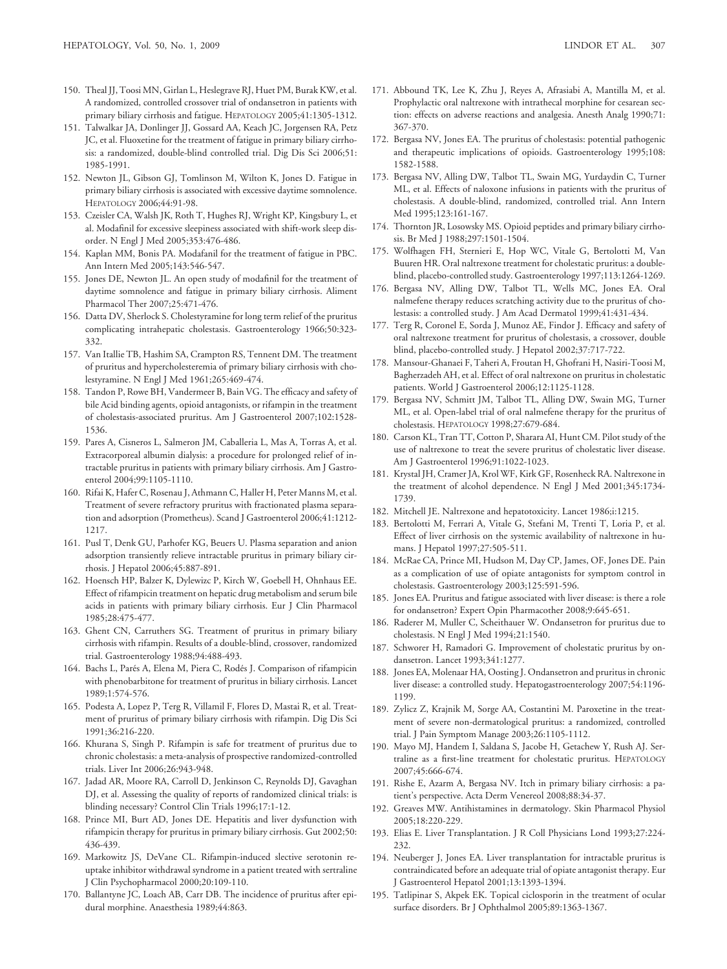- 150. Theal JJ, Toosi MN, Girlan L, Heslegrave RJ, Huet PM, Burak KW, et al. A randomized, controlled crossover trial of ondansetron in patients with primary biliary cirrhosis and fatigue. HEPATOLOGY 2005;41:1305-1312.
- 151. Talwalkar JA, Donlinger JJ, Gossard AA, Keach JC, Jorgensen RA, Petz JC, et al. Fluoxetine for the treatment of fatigue in primary biliary cirrhosis: a randomized, double-blind controlled trial. Dig Dis Sci 2006;51: 1985-1991.
- 152. Newton JL, Gibson GJ, Tomlinson M, Wilton K, Jones D. Fatigue in primary biliary cirrhosis is associated with excessive daytime somnolence. HEPATOLOGY 2006;44:91-98.
- 153. Czeisler CA, Walsh JK, Roth T, Hughes RJ, Wright KP, Kingsbury L, et al. Modafinil for excessive sleepiness associated with shift-work sleep disorder. N Engl J Med 2005;353:476-486.
- 154. Kaplan MM, Bonis PA. Modafanil for the treatment of fatigue in PBC. Ann Intern Med 2005;143:546-547.
- 155. Jones DE, Newton JL. An open study of modafinil for the treatment of daytime somnolence and fatigue in primary biliary cirrhosis. Aliment Pharmacol Ther 2007;25:471-476.
- 156. Datta DV, Sherlock S. Cholestyramine for long term relief of the pruritus complicating intrahepatic cholestasis. Gastroenterology 1966;50:323- 332.
- 157. Van Itallie TB, Hashim SA, Crampton RS, Tennent DM. The treatment of pruritus and hypercholesteremia of primary biliary cirrhosis with cholestyramine. N Engl J Med 1961;265:469-474.
- 158. Tandon P, Rowe BH, Vandermeer B, Bain VG. The efficacy and safety of bile Acid binding agents, opioid antagonists, or rifampin in the treatment of cholestasis-associated pruritus. Am J Gastroenterol 2007;102:1528- 1536.
- 159. Pares A, Cisneros L, Salmeron JM, Caballeria L, Mas A, Torras A, et al. Extracorporeal albumin dialysis: a procedure for prolonged relief of intractable pruritus in patients with primary biliary cirrhosis. Am J Gastroenterol 2004;99:1105-1110.
- 160. Rifai K, Hafer C, Rosenau J, Athmann C, Haller H, Peter Manns M, et al. Treatment of severe refractory pruritus with fractionated plasma separation and adsorption (Prometheus). Scand J Gastroenterol 2006;41:1212- 1217.
- 161. Pusl T, Denk GU, Parhofer KG, Beuers U. Plasma separation and anion adsorption transiently relieve intractable pruritus in primary biliary cirrhosis. J Hepatol 2006;45:887-891.
- 162. Hoensch HP, Balzer K, Dylewizc P, Kirch W, Goebell H, Ohnhaus EE. Effect of rifampicin treatment on hepatic drug metabolism and serum bile acids in patients with primary biliary cirrhosis. Eur J Clin Pharmacol 1985;28:475-477.
- 163. Ghent CN, Carruthers SG. Treatment of pruritus in primary biliary cirrhosis with rifampin. Results of a double-blind, crossover, randomized trial. Gastroenterology 1988;94:488-493.
- 164. Bachs L, Parés A, Elena M, Piera C, Rodés J. Comparison of rifampicin with phenobarbitone for treatment of pruritus in biliary cirrhosis. Lancet 1989;1:574-576.
- 165. Podesta A, Lopez P, Terg R, Villamil F, Flores D, Mastai R, et al. Treatment of pruritus of primary biliary cirrhosis with rifampin. Dig Dis Sci 1991;36:216-220.
- 166. Khurana S, Singh P. Rifampin is safe for treatment of pruritus due to chronic cholestasis: a meta-analysis of prospective randomized-controlled trials. Liver Int 2006;26:943-948.
- 167. Jadad AR, Moore RA, Carroll D, Jenkinson C, Reynolds DJ, Gavaghan DJ, et al. Assessing the quality of reports of randomized clinical trials: is blinding necessary? Control Clin Trials 1996;17:1-12.
- 168. Prince MI, Burt AD, Jones DE. Hepatitis and liver dysfunction with rifampicin therapy for pruritus in primary biliary cirrhosis. Gut 2002;50: 436-439.
- 169. Markowitz JS, DeVane CL. Rifampin-induced slective serotonin reuptake inhibitor withdrawal syndrome in a patient treated with sertraline J Clin Psychopharmacol 2000;20:109-110.
- 170. Ballantyne JC, Loach AB, Carr DB. The incidence of pruritus after epidural morphine. Anaesthesia 1989;44:863.
- 171. Abbound TK, Lee K, Zhu J, Reyes A, Afrasiabi A, Mantilla M, et al. Prophylactic oral naltrexone with intrathecal morphine for cesarean section: effects on adverse reactions and analgesia. Anesth Analg 1990;71: 367-370.
- 172. Bergasa NV, Jones EA. The pruritus of cholestasis: potential pathogenic and therapeutic implications of opioids. Gastroenterology 1995;108: 1582-1588.
- 173. Bergasa NV, Alling DW, Talbot TL, Swain MG, Yurdaydin C, Turner ML, et al. Effects of naloxone infusions in patients with the pruritus of cholestasis. A double-blind, randomized, controlled trial. Ann Intern Med 1995;123:161-167.
- 174. Thornton JR, Losowsky MS. Opioid peptides and primary biliary cirrhosis. Br Med J 1988;297:1501-1504.
- 175. Wolfhagen FH, Sternieri E, Hop WC, Vitale G, Bertolotti M, Van Buuren HR. Oral naltrexone treatment for cholestatic pruritus: a doubleblind, placebo-controlled study. Gastroenterology 1997;113:1264-1269.
- 176. Bergasa NV, Alling DW, Talbot TL, Wells MC, Jones EA. Oral nalmefene therapy reduces scratching activity due to the pruritus of cholestasis: a controlled study. J Am Acad Dermatol 1999;41:431-434.
- 177. Terg R, Coronel E, Sorda J, Munoz AE, Findor J. Efficacy and safety of oral naltrexone treatment for pruritus of cholestasis, a crossover, double blind, placebo-controlled study. J Hepatol 2002;37:717-722.
- 178. Mansour-Ghanaei F, Taheri A, Froutan H, Ghofrani H, Nasiri-Toosi M, Bagherzadeh AH, et al. Effect of oral naltrexone on pruritus in cholestatic patients. World J Gastroenterol 2006;12:1125-1128.
- 179. Bergasa NV, Schmitt JM, Talbot TL, Alling DW, Swain MG, Turner ML, et al. Open-label trial of oral nalmefene therapy for the pruritus of cholestasis. HEPATOLOGY 1998;27:679-684.
- 180. Carson KL, Tran TT, Cotton P, Sharara AI, Hunt CM. Pilot study of the use of naltrexone to treat the severe pruritus of cholestatic liver disease. Am J Gastroenterol 1996;91:1022-1023.
- 181. Krystal JH, Cramer JA, Krol WF, Kirk GF, Rosenheck RA. Naltrexone in the treatment of alcohol dependence. N Engl J Med 2001;345:1734- 1739.
- 182. Mitchell JE. Naltrexone and hepatotoxicity. Lancet 1986;i:1215.
- 183. Bertolotti M, Ferrari A, Vitale G, Stefani M, Trenti T, Loria P, et al. Effect of liver cirrhosis on the systemic availability of naltrexone in humans. J Hepatol 1997;27:505-511.
- 184. McRae CA, Prince MI, Hudson M, Day CP, James, OF, Jones DE. Pain as a complication of use of opiate antagonists for symptom control in cholestasis. Gastroenterology 2003;125:591-596.
- 185. Jones EA. Pruritus and fatigue associated with liver disease: is there a role for ondansetron? Expert Opin Pharmacother 2008;9:645-651.
- 186. Raderer M, Muller C, Scheithauer W. Ondansetron for pruritus due to cholestasis. N Engl J Med 1994;21:1540.
- 187. Schworer H, Ramadori G. Improvement of cholestatic pruritus by ondansetron. Lancet 1993;341:1277.
- 188. Jones EA, Molenaar HA, Oosting J. Ondansetron and pruritus in chronic liver disease: a controlled study. Hepatogastroenterology 2007;54:1196- 1199.
- 189. Zylicz Z, Krajnik M, Sorge AA, Costantini M. Paroxetine in the treatment of severe non-dermatological pruritus: a randomized, controlled trial. J Pain Symptom Manage 2003;26:1105-1112.
- 190. Mayo MJ, Handem I, Saldana S, Jacobe H, Getachew Y, Rush AJ. Sertraline as a first-line treatment for cholestatic pruritus. HEPATOLOGY 2007;45:666-674.
- 191. Rishe E, Azarm A, Bergasa NV. Itch in primary biliary cirrhosis: a patient's perspective. Acta Derm Venereol 2008;88:34-37.
- 192. Greaves MW. Antihistamines in dermatology. Skin Pharmacol Physiol 2005;18:220-229.
- 193. Elias E. Liver Transplantation. J R Coll Physicians Lond 1993;27:224- 232.
- 194. Neuberger J, Jones EA. Liver transplantation for intractable pruritus is contraindicated before an adequate trial of opiate antagonist therapy. Eur J Gastroenterol Hepatol 2001;13:1393-1394.
- 195. Tatlipinar S, Akpek EK. Topical ciclosporin in the treatment of ocular surface disorders. Br J Ophthalmol 2005;89:1363-1367.